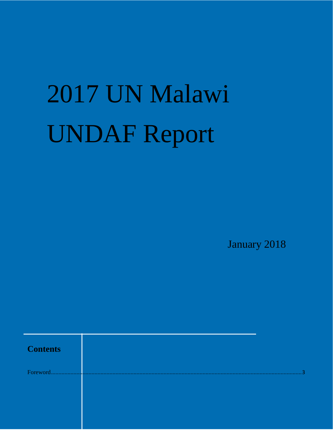# 2017 UN Malawi **UNDAF Report**

January 2018

| <b>Contents</b> |  |
|-----------------|--|
| Foreword.       |  |
|                 |  |
|                 |  |
|                 |  |
|                 |  |
|                 |  |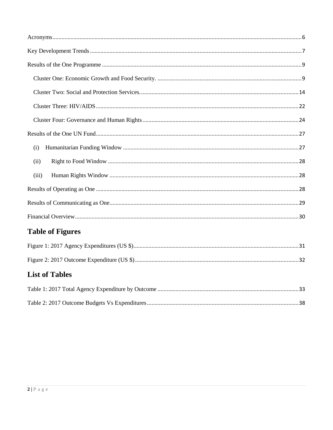| (i)                     |  |
|-------------------------|--|
| (ii)                    |  |
| (iii)                   |  |
|                         |  |
|                         |  |
|                         |  |
| <b>Table of Figures</b> |  |
|                         |  |
|                         |  |
| <b>List of Tables</b>   |  |
|                         |  |
|                         |  |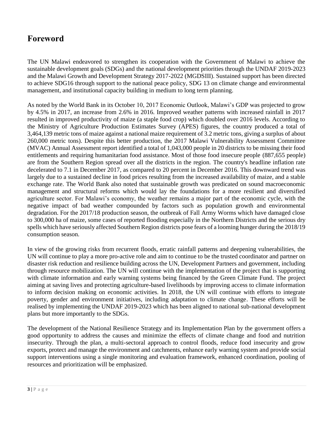# <span id="page-2-0"></span>**Foreword**

The UN Malawi endeavored to strengthen its cooperation with the Government of Malawi to achieve the sustainable development goals (SDGs) and the national development priorities through the UNDAF 2019-2023 and the Malawi Growth and Development Strategy 2017-2022 (MGDSIII). Sustained support has been directed to achieve SDG16 through support to the national peace policy, SDG 13 on climate change and environmental management, and institutional capacity building in medium to long term planning.

As noted by the World Bank in its October 10, 2017 Economic Outlook, Malawi's GDP was projected to grow by 4.5% in 2017, an increase from 2.6% in 2016. Improved weather patterns with increased rainfall in 2017 resulted in improved productivity of maize (a staple food crop) which doubled over 2016 levels. According to the Ministry of Agriculture Production Estimates Survey (APES) figures, the country produced a total of 3,464,139 metric tons of maize against a national maize requirement of 3.2 metric tons, giving a surplus of about 260,000 metric tons). Despite this better production, the 2017 Malawi Vulnerability Assessment Committee (MVAC) Annual Assessment report identified a total of 1,043,000 people in 20 districts to be missing their food entitlements and requiring humanitarian food assistance. Most of those food insecure people (887,655 people) are from the Southern Region spread over all the districts in the region. The country's headline inflation rate decelerated to 7.1 in December 2017, as compared to 20 percent in December 2016. This downward trend was largely due to a sustained decline in food prices resulting from the increased availability of maize, and a stable exchange rate. The World Bank also noted that sustainable growth was predicated on sound macroeconomic management and structural reforms which would lay the foundations for a more resilient and diversified agriculture sector. For Malawi's economy, the weather remains a major part of the economic cycle, with the negative impact of bad weather compounded by factors such as population growth and environmental degradation. For the 2017/18 production season, the outbreak of Fall Army Worms which have damaged close to 300,000 ha of maize, some cases of reported flooding especially in the Northern Districts and the serious dry spells which have seriously affected Southern Region districts pose fears of a looming hunger during the 2018/19 consumption season.

In view of the growing risks from recurrent floods, erratic rainfall patterns and deepening vulnerabilities, the UN will continue to play a more pro-active role and aim to continue to be the trusted coordinator and partner on disaster risk reduction and resilience building across the UN, Development Partners and government, including through resource mobilization. The UN will continue with the implementation of the project that is supporting with climate information and early warning systems being financed by the Green Climate Fund. The project aiming at saving lives and protecting agriculture-based livelihoods by improving access to climate information to inform decision making on economic activities. In 2018, the UN will continue with efforts to integrate poverty, gender and environment initiatives, including adaptation to climate change. These efforts will be realised by implementing the UNDAF 2019-2023 which has been aligned to national sub-national development plans but more importantly to the SDGs.

The development of the National Resilience Strategy and its Implementation Plan by the government offers a good opportunity to address the causes and minimize the effects of climate change and food and nutrition insecurity. Through the plan, a multi-sectoral approach to control floods, reduce food insecurity and grow exports, protect and manage the environment and catchments, enhance early warning system and provide social support interventions using a single monitoring and evaluation framework, enhanced coordination, pooling of resources and prioritization will be emphasized.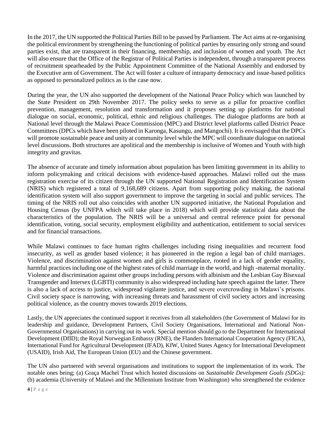In the 2017, the UN supported the Political Parties Bill to be passed by Parliament. The Act aims at re-organising the political environment by strengthening the functioning of political parties by ensuring only strong and sound parties exist, that are transparent in their financing, membership, and inclusion of women and youth. The Act will also ensure that the Office of the Registrar of Political Parties is independent, through a transparent process of recruitment spearheaded by the Public Appointment Committee of the National Assembly and endorsed by the Executive arm of Government. The Act will foster a culture of intraparty democracy and issue-based politics as opposed to personalized politics as is the case now.

During the year, the UN also supported the development of the National Peace Policy which was launched by the State President on 29th November 2017. The policy seeks to serve as a pillar for proactive conflict prevention, management, resolution and transformation and it proposes setting up platforms for national dialogue on social, economic, political, ethnic and religious challenges. The dialogue platforms are both at National level through the Malawi Peace Commission (MPC) and District level platforms called District Peace Committees (DPCs which have been piloted in Karonga, Kasungu, and Mangochi). It is envisaged that the DPCs will promote sustainable peace and unity at community level while the MPC will coordinate dialogue on national level discussions. Both structures are apolitical and the membership is inclusive of Women and Youth with high integrity and gravitas.

The absence of accurate and timely information about population has been limiting government in its ability to inform policymaking and critical decisions with evidence-based approaches. Malawi rolled out the mass registration exercise of its citizen through the UN supported National Registration and Identification System (NRIS) which registered a total of 9,168,689 citizens. Apart from supporting policy making, the national identification system will also support government to improve the targeting in social and public services. The timing of the NRIS roll out also coincides with another UN supported initiative, the National Population and Housing Census (by UNFPA which will take place in 2018) which will provide statistical data about the characteristics of the population. The NRIS will be a universal and central reference point for personal identification, voting, social security, employment eligibility and authentication, entitlement to social services and for financial transactions.

While Malawi continues to face human rights challenges including rising inequalities and recurrent food insecurity, as well as gender based violence; it has pioneered in the region a legal ban of child marriages. Violence, and discrimination against women and girls is commonplace, rooted in a lack of gender equality, harmful practices including one of the highest rates of child marriage in the world, and high -maternal mortality. Violence and discrimination against other groups including persons with albinism and the Lesbian Gay Bisexual Transgender and Intersex (LGBTI) community is also widespread including hate speech against the latter. There is also a lack of access to justice, widespread vigilante justice, and severe overcrowding in Malawi's prisons. Civil society space is narrowing, with increasing threats and harassment of civil society actors and increasing political violence, as the country moves towards 2019 elections.

Lastly, the UN appreciates the continued support it receives from all stakeholders (the Government of Malawi for its leadership and guidance, Development Partners, Civil Society Organisations, International and National Non-Governmental Organisations) in carrying out its work. Special mention should go to the Department for International Development (DfID); the Royal Norwegian Embassy (RNE), the Flanders International Cooperation Agency (FICA), International Fund for Agricultural Development (IFAD), KfW, United States Agency for International Development (USAID), Irish Aid, The European Union (EU) and the Chinese government.

The UN also partnered with several organisations and institutions to support the implementation of its work. The notable ones being; (a) Graça Machel Trust which hosted discussions on *Sustainable Development Goals (SDGs):*  (b) academia (University of Malawi and the Millennium Institute from Washington) who strengthened the evidence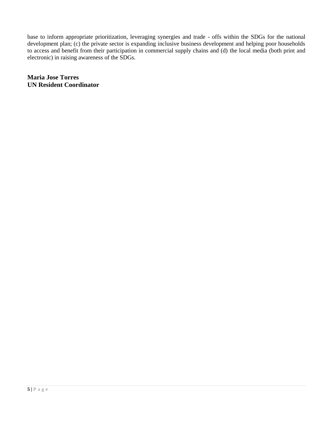base to inform appropriate prioritization, leveraging synergies and trade - offs within the SDGs for the national development plan; (c) the private sector is expanding inclusive business development and helping poor households to access and benefit from their participation in commercial supply chains and (d) the local media (both print and electronic) in raising awareness of the SDGs.

**Maria Jose Torres UN Resident Coordinator**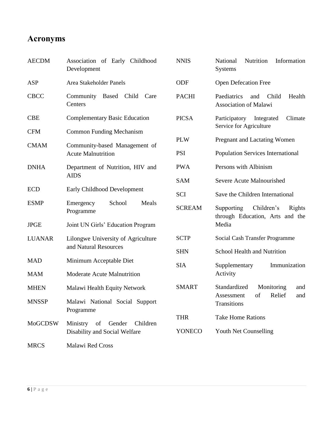# <span id="page-5-0"></span>**Acronyms**

| <b>AECDM</b>   | Association of Early Childhood<br>Development                         | <b>NNIS</b>   | Nutrition<br>National<br>Information<br><b>Systems</b>                |
|----------------|-----------------------------------------------------------------------|---------------|-----------------------------------------------------------------------|
| <b>ASP</b>     | Area Stakeholder Panels                                               | ODF           | <b>Open Defecation Free</b>                                           |
| <b>CBCC</b>    | Community Based Child Care<br>Centers                                 | <b>PACHI</b>  | Paediatrics<br>Health<br>Child<br>and<br><b>Association of Malawi</b> |
| <b>CBE</b>     | <b>Complementary Basic Education</b>                                  | <b>PICSA</b>  | Participatory<br>Integrated<br>Climate<br>Service for Agriculture     |
| <b>CFM</b>     | <b>Common Funding Mechanism</b>                                       |               |                                                                       |
| <b>CMAM</b>    | Community-based Management of                                         | <b>PLW</b>    | Pregnant and Lactating Women                                          |
|                | <b>Acute Malnutrition</b>                                             | <b>PSI</b>    | <b>Population Services International</b>                              |
| <b>DNHA</b>    | Department of Nutrition, HIV and                                      | <b>PWA</b>    | Persons with Albinism                                                 |
|                | <b>AIDS</b>                                                           | <b>SAM</b>    | Severe Acute Malnourished                                             |
| <b>ECD</b>     | Early Childhood Development                                           | <b>SCI</b>    | Save the Children International                                       |
| <b>ESMP</b>    | School<br>Meals<br>Emergency<br>Programme                             | <b>SCREAM</b> | Children's<br>Supporting<br>Rights<br>through Education, Arts and the |
| <b>JPGE</b>    | Joint UN Girls' Education Program                                     |               | Media                                                                 |
| <b>LUANAR</b>  | Lilongwe University of Agriculture                                    | <b>SCTP</b>   | Social Cash Transfer Programme                                        |
|                | and Natural Resources                                                 | <b>SHN</b>    | School Health and Nutrition                                           |
| <b>MAD</b>     | Minimum Acceptable Diet                                               | <b>SIA</b>    | Supplementary<br>Immunization                                         |
| <b>MAM</b>     | Moderate Acute Malnutrition                                           |               | Activity                                                              |
| <b>MHEN</b>    | Malawi Health Equity Network                                          | <b>SMART</b>  | Standardized<br>Monitoring<br>and                                     |
| <b>MNSSP</b>   | Malawi National Social Support<br>Programme                           |               | Relief<br>of<br>and<br>Assessment<br>Transitions                      |
|                |                                                                       | <b>THR</b>    | <b>Take Home Rations</b>                                              |
| <b>MoGCDSW</b> | of<br>Ministry<br>Gender<br>Children<br>Disability and Social Welfare | YONECO        | Youth Net Counselling                                                 |
| <b>MRCS</b>    | Malawi Red Cross                                                      |               |                                                                       |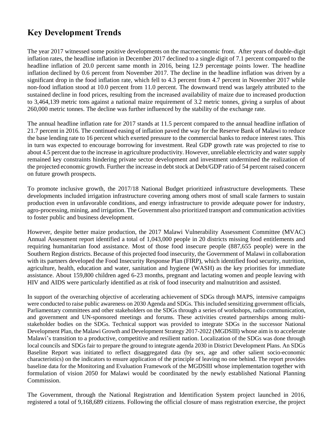# <span id="page-6-0"></span>**Key Development Trends**

The year 2017 witnessed some positive developments on the macroeconomic front. After years of double-digit inflation rates, the headline inflation in December 2017 declined to a single digit of 7.1 percent compared to the headline inflation of 20.0 percent same month in 2016, being 12.9 percentage points lower. The headline inflation declined by 0.6 percent from November 2017. The decline in the headline inflation was driven by a significant drop in the food inflation rate, which fell to 4.3 percent from 4.7 percent in November 2017 while non-food inflation stood at 10.0 percent from 11.0 percent. The downward trend was largely attributed to the sustained decline in food prices, resulting from the increased availability of maize due to increased production to 3,464,139 metric tons against a national maize requirement of 3.2 metric tonnes, giving a surplus of about 260,000 metric tonnes. The decline was further influenced by the stability of the exchange rate.

The annual headline inflation rate for 2017 stands at 11.5 percent compared to the annual headline inflation of 21.7 percent in 2016. The continued easing of inflation paved the way for the Reserve Bank of Malawi to reduce the base lending rate to 16 percent which exerted pressure to the commercial banks to reduce interest rates. This in turn was expected to encourage borrowing for investment. Real GDP growth rate was projected to rise to about 4.5 percent due to the increase in agriculture productivity. However, unreliable electricity and water supply remained key constraints hindering private sector development and investment undermined the realization of the projected economic growth. Further the increase in debt stock at Debt/GDP ratio of 54 percent raised concern on future growth prospects.

To promote inclusive growth, the 2017/18 National Budget prioritized infrastructure developments. These developments included irrigation infrastructure covering among others most of small scale farmers to sustain production even in unfavorable conditions, and energy infrastructure to provide adequate power for industry, agro-processing, mining, and irrigation. The Government also prioritized transport and communication activities to foster public and business development.

However, despite better maize production, the 2017 Malawi Vulnerability Assessment Committee (MVAC) Annual Assessment report identified a total of 1,043,000 people in 20 districts missing food entitlements and requiring humanitarian food assistance. Most of those food insecure people (887,655 people) were in the Southern Region districts. Because of this projected food insecurity, the Government of Malawi in collaboration with its partners developed the Food Insecurity Response Plan (FIRP), which identified food security, nutrition, agriculture, health, education and water, sanitation and hygiene (WASH) as the key priorities for immediate assistance. About 159,800 children aged 6-23 months, pregnant and lactating women and people leaving with HIV and AIDS were particularly identified as at risk of food insecurity and malnutrition and assisted.

In support of the overarching objective of accelerating achievement of SDGs through MAPS, intensive campaigns were conducted to raise public awareness on 2030 Agenda and SDGs. This included sensitizing government officials, Parliamentary committees and other stakeholders on the SDGs through a series of workshops, radio communication, and government and UN-sponsored meetings and forums. These activities created partnerships among multistakeholder bodies on the SDGs. Technical support was provided to integrate SDGs in the successor National Development Plan, the Malawi Growth and Development Strategy 2017-2022 (MGDSIII) whose aim is to accelerate Malawi's transition to a productive, competitive and resilient nation. Localization of the SDGs was done through local councils and SDGs fair to prepare the ground to integrate agenda 2030 in District Development Plans. An SDGs Baseline Report was initiated to reflect disaggregated data (by sex, age and other salient socio-economic characteristics) on the indicators to ensure application of the principle of leaving no one behind. The report provides baseline data for the Monitoring and Evaluation Framework of the MGDSIII whose implementation together with formulation of vision 2050 for Malawi would be coordinated by the newly established National Planning Commission.

The Government, through the National Registration and Identification System project launched in 2016, registered a total of 9,168,689 citizens. Following the official closure of mass registration exercise, the project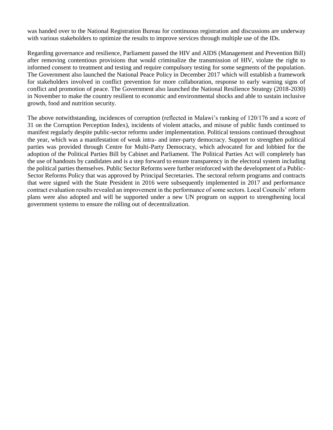was handed over to the National Registration Bureau for continuous registration and discussions are underway with various stakeholders to optimize the results to improve services through multiple use of the IDs.

Regarding governance and resilience, Parliament passed the HIV and AIDS (Management and Prevention Bill) after removing contentious provisions that would criminalize the transmission of HIV, violate the right to informed consent to treatment and testing and require compulsory testing for some segments of the population. The Government also launched the National Peace Policy in December 2017 which will establish a framework for stakeholders involved in conflict prevention for more collaboration, response to early warning signs of conflict and promotion of peace. The Government also launched the National Resilience Strategy (2018-2030) in November to make the country resilient to economic and environmental shocks and able to sustain inclusive growth, food and nutrition security.

The above notwithstanding, incidences of corruption (reflected in Malawi's ranking of 120/176 and a score of 31 on the Corruption Perception Index), incidents of violent attacks, and misuse of public funds continued to manifest regularly despite public-sector reforms under implementation. Political tensions continued throughout the year, which was a manifestation of weak intra- and inter-party democracy. Support to strengthen political parties was provided through Centre for Multi-Party Democracy, which advocated for and lobbied for the adoption of the Political Parties Bill by Cabinet and Parliament. The Political Parties Act will completely ban the use of handouts by candidates and is a step forward to ensure transparency in the electoral system including the political parties themselves. Public Sector Reforms were further reinforced with the development of a Public-Sector Reforms Policy that was approved by Principal Secretaries. The sectoral reform programs and contracts that were signed with the State President in 2016 were subsequently implemented in 2017 and performance contract evaluation results revealed an improvement in the performance of some sectors. Local Councils' reform plans were also adopted and will be supported under a new UN program on support to strengthening local government systems to ensure the rolling out of decentralization.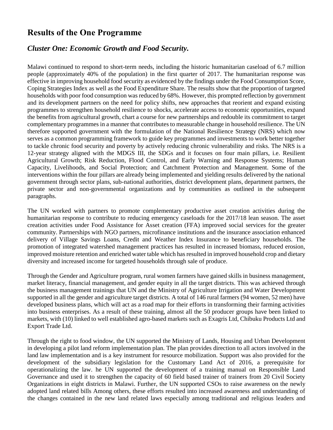## <span id="page-8-0"></span>**Results of the One Programme**

#### <span id="page-8-1"></span>*Cluster One: Economic Growth and Food Security.*

Malawi continued to respond to short-term needs, including the historic humanitarian caseload of 6.7 million people (approximately 40% of the population) in the first quarter of 2017. The humanitarian response was effective in improving household food security as evidenced by the findings under the Food Consumption Score, Coping Strategies Index as well as the Food Expenditure Share. The results show that the proportion of targeted households with poor food consumption was reduced by 68%. However, this prompted reflection by government and its development partners on the need for policy shifts, new approaches that reorient and expand existing programmes to strengthen household resilience to shocks, accelerate access to economic opportunities, expand the benefits from agricultural growth, chart a course for new partnerships and redouble its commitment to target complementary programmes in a manner that contributes to measurable change in household resilience. The UN therefore supported government with the formulation of the National Resilience Strategy (NRS) which now serves as a common programming framework to guide key programmes and investments to work better together to tackle chronic food security and poverty by actively reducing chronic vulnerability and risks. The NRS is a 12-year strategy aligned with the MDGS III, the SDGs and it focuses on four main pillars, i.e. Resilient Agricultural Growth; Risk Reduction, Flood Control, and Early Warning and Response Systems; Human Capacity, Livelihoods, and Social Protection; and Catchment Protection and Management. Some of the interventions within the four pillars are already being implemented and yielding results delivered by the national government through sector plans, sub-national authorities, district development plans, department partners, the private sector and non-governmental organizations and by communities as outlined in the subsequent paragraphs.

The UN worked with partners to promote complementary productive asset creation activities during the humanitarian response to contribute to reducing emergency caseloads for the 2017/18 lean season. The asset creation activities under Food Assistance for Asset creation (FFA) improved social services for the greater community. Partnerships with NGO partners, microfinance institutions and the insurance association enhanced delivery of Village Savings Loans, Credit and Weather Index Insurance to beneficiary households. The promotion of integrated watershed management practices has resulted in increased biomass, reduced erosion, improved moisture retention and enriched water table which has resulted in improved household crop and dietary diversity and increased income for targeted households through sale of produce.

Through the Gender and Agriculture program, rural women farmers have gained skills in business management, market literacy, financial management, and gender equity in all the target districts. This was achieved through the business management trainings that UN and the Ministry of Agriculture Irrigation and Water Development supported in all the gender and agriculture target districts. A total of 146 rural farmers (94 women, 52 men) have developed business plans, which will act as a road map for their efforts in transforming their farming activities into business enterprises. As a result of these training, almost all the 50 producer groups have been linked to markets, with (10) linked to well established agro-based markets such as Exagris Ltd, Chibuku Products Ltd and Export Trade Ltd.

Through the right to food window, the UN supported the Ministry of Lands, Housing and Urban Development in developing a pilot land reform implementation plan. The plan provides direction to all actors involved in the land law implementation and is a key instrument for resource mobilization. Support was also provided for the development of the subsidiary legislation for the Customary Land Act of 2016, a prerequisite for operationalizing the law. he UN supported the development of a training manual on Responsible Land Governance and used it to strengthen the capacity of 60 field based trainer of trainers from 20 Civil Society Organizations in eight districts in Malawi. Further, the UN supported CSOs to raise awareness on the newly adopted land related bills Among others, these efforts resulted into increased awareness and understanding of the changes contained in the new land related laws especially among traditional and religious leaders and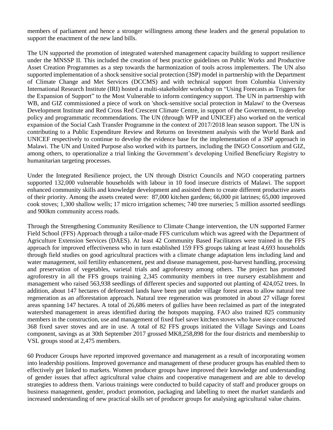members of parliament and hence a stronger willingness among these leaders and the general population to support the enactment of the new land bills.

The UN supported the promotion of integrated watershed management capacity building to support resilience under the MNSSP II. This included the creation of best practice guidelines on Public Works and Productive Asset Creation Programmes as a step towards the harmonization of tools across implementers. The UN also supported implementation of a shock sensitive social protection (3SP) model in partnership with the Department of Climate Change and Met Services (DCCMS) and with technical support from Columbia University International Research Institute (IRI) hosted a multi-stakeholder workshop on "Using Forecasts as Triggers for the Expansion of Support" to the Most Vulnerable to inform contingency support. The UN in partnership with WB, and GIZ commissioned a piece of work on 'shock-sensitive social protection in Malawi' to the Overseas Development Institute and Red Cross Red Crescent Climate Centre, in support of the Government, to develop policy and programmatic recommendations. The UN (through WFP and UNICEF) also worked on the vertical expansion of the Social Cash Transfer Programme in the context of 2017/2018 lean season support. The UN is contributing to a Public Expenditure Review and Returns on Investment analysis with the World Bank and UNICEF respectively to continue to develop the evidence base for the implementation of a 3SP approach in Malawi. The UN and United Purpose also worked with its partners, including the INGO Consortium and GIZ, among others, to operationalize a trial linking the Government's developing Unified Beneficiary Registry to humanitarian targeting processes.

Under the Integrated Resilience project, the UN through District Councils and NGO cooperating partners supported 132,000 vulnerable households with labour in 10 food insecure districts of Malawi. The support enhanced community skills and knowledge development and assisted them to create different productive assets of their priority. Among the assets created were: 87,000 kitchen gardens; 66,000 pit latrines; 65,000 improved cook stoves; 1,300 shallow wells; 17 micro irrigation schemes; 740 tree nurseries; 5 million assorted seedlings and 900km community access roads.

Through the Strengthening Community Resilience to Climate Change intervention, the UN supported Farmer Field School (FFS) Approach through a tailor-made FFS curriculum which was agreed with the Department of Agriculture Extension Services (DAES). At least 42 Community Based Facilitators were trained in the FFS approach for improved effectiveness who in turn established 159 FFS groups taking at least 4,693 households through field studies on good agricultural practices with a climate change adaptation lens including land and water management, soil fertility enhancement, pest and disease management, post-harvest handling, processing and preservation of vegetables, varietal trials and agroforestry among others. The project has promoted agroforestry in all the FFS groups training 2,345 community members in tree nursery establishment and management who raised 563,938 seedlings of different species and supported out planting of 424,052 trees. In addition, about 147 hectares of deforested lands have been put under village forest areas to allow natural tree regeneration as an afforestation approach. Natural tree regeneration was promoted in about 27 village forest areas spanning 147 hectares. A total of 26,686 meters of gullies have been reclaimed as part of the integrated watershed management in areas identified during the hotspots mapping. FAO also trained 825 community members in the construction, use and management of fixed fuel saver kitchen stoves who have since constructed 368 fixed saver stoves and are in use. A total of 82 FFS groups initiated the Village Savings and Loans component, savings as at 30th September 2017 grossed MK8,258,898 for the four districts and membership to VSL groups stood at 2,475 members.

60 Producer Groups have reported improved governance and management as a result of incorporating women into leadership positions. Improved governance and management of these producer groups has enabled them to effectively get linked to markets. Women producer groups have improved their knowledge and understanding of gender issues that affect agricultural value chains and cooperative management and are able to develop strategies to address them. Various trainings were conducted to build capacity of staff and producer groups on business management, gender, product promotion, packaging and labelling to meet the market standards and increased understanding of new practical skills set of producer groups for analysing agricultural value chains.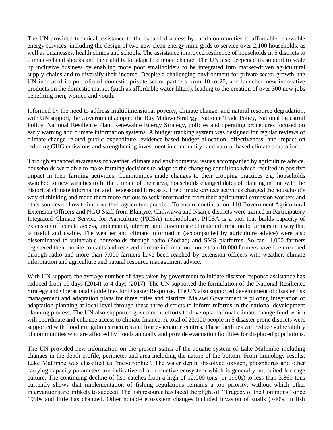The UN provided technical assistance to the expanded access by rural communities to affordable renewable energy services, including the design of two new clean energy mini-grids to service over 2,100 households, as well as businesses, health clinics and schools. The assistance improved resilience of households in 5 districts to climate-related shocks and their ability to adapt to climate change. The UN also deepened its support to scale up inclusive business by enabling more poor smallholders to be integrated into market-driven agricultural supply-chains and to diversify their income. Despite a challenging environment for private sector growth, the UN increased its portfolio of domestic private sector partners from 10 to 20, and launched new innovative products on the domestic market (such as affordable water filters), leading to the creation of over 300 new jobs benefiting men, women and youth.

Informed by the need to address multidimensional poverty, climate change, and natural resource degradation, with UN support, the Government adopted the Buy Malawi Strategy, National Trade Policy, National Industrial Policy, National Resilience Plan, Renewable Energy Strategy, policies and operating procedures focused on early warning and climate information systems. A budget tracking system was designed for regular reviews of climate-change related public expenditure, evidence-based budget allocation, effectiveness, and impact on reducing GHG emissions and strengthening investment in community- and natural-based climate adaptation.

Through enhanced awareness of weather, climate and environmental issues accompanied by agriculture advice, households were able to make farming decisions to adapt to the changing conditions which resulted in positive impact in their farming activities. Communities made changes to their cropping practices e.g. households switched to new varieties to fit the climate of their area, households changed dates of planting in line with the historical climate information and the seasonal forecasts. The climate services activities changed the household's way of thinking and made them more curious to seek information from their agricultural extension workers and other sources on how to improve their agriculture practice. To ensure continuation, 110 Government Agricultural Extension Officers and NGO Staff from Blantyre, Chikwawa and Nsanje districts were trained in Participatory Integrated Climate Service for Agriculture (PICSA) methodology. PICSA is a tool that builds capacity of extension officers to access, understand, interpret and disseminate climate information to farmers in a way that is useful and usable. The weather and climate information (accompanied by agriculture advice) were also disseminated to vulnerable households through radio (Zodiac) and SMS platforms. So far 11,000 farmers registered their mobile contacts and received climate information; more than 10,000 farmers have been reached through radio and more than 7,000 farmers have been reached by extension officers with weather, climate information and agriculture and natural resource management advice.

With UN support, the average number of days taken by government to initiate disaster response assistance has reduced from 10 days (2014) to 4 days (2017). The UN supported the formulation of the National Resilience Strategy and Operational Guidelines for Disaster Response. The UN also supported development of disaster risk management and adaptation plans for three cities and districts. Malawi Government is piloting integration of adaptation planning at local level through these three districts to inform reforms in the national development planning process. The UN also supported government efforts to develop a national climate change fund which will coordinate and enhance access to climate finance. A total of 23,000 people in 5 disaster prone districts were supported with flood mitigation structures and four evacuation centres. These facilities will reduce vulnerability of communities who are affected by floods annually and provide evacuation facilities for displaced populations.

The UN provided new information on the present status of the aquatic system of Lake Malombe including changes in the depth profile, perimeter and area including the nature of the bottom. From limnology results, Lake Malombe was classified as "mesotrophic". The water depth, dissolved oxygen, phosphorus and other carrying capacity parameters are indicative of a productive ecosystem which is generally not suited for cage culture. The continuing decline of fish catches from a high of 12,000 tons (in 1990s) to less than 3,860 tons currently shows that implementation of fishing regulations remains a top priority; without which other interventions are unlikely to succeed. The fish resource has faced the plight of, "Tragedy of the Commons" since 1990s and little has changed. Other notable ecosystem changes included invasion of snails (>40% in fish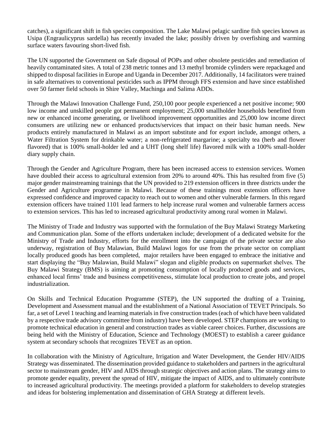catches), a significant shift in fish species composition. The Lake Malawi pelagic sardine fish species known as Usipa (Engraulicyprus sardella) has recently invaded the lake; possibly driven by overfishing and warming surface waters favouring short-lived fish.

The UN supported the Government on Safe disposal of POPs and other obsolete pesticides and remediation of heavily contaminated sites. A total of 238 metric tonnes and 13 methyl bromide cylinders were repackaged and shipped to disposal facilities in Europe and Uganda in December 2017. Additionally, 14 facilitators were trained in safe alternatives to conventional pesticides such as IPPM through FFS extension and have since established over 50 farmer field schools in Shire Valley, Machinga and Salima ADDs.

Through the Malawi Innovation Challenge Fund, 250,100 poor people experienced a net positive income; 900 low income and unskilled people got permanent employment; 25,000 smallholder households benefited from new or enhanced income generating, or livelihood improvement opportunities and 25,000 low income direct consumers are utilizing new or enhanced products/services that impact on their basic human needs. New products entirely manufactured in Malawi as an import substitute and for export include, amongst others, a Water Filtration System for drinkable water; a non-refrigerated margarine; a specialty tea (herb and flower flavored) that is 100% small-holder led and a UHT (long shelf life) flavored milk with a 100% small-holder diary supply chain.

Through the Gender and Agriculture Program, there has been increased access to extension services. Women have doubled their access to agricultural extension from 20% to around 40%. This has resulted from five (5) major gender mainstreaming trainings that the UN provided to 219 extension officers in three districts under the Gender and Agriculture programme in Malawi. Because of these trainings most extension officers have expressed confidence and improved capacity to reach out to women and other vulnerable farmers. In this regard extension officers have trained 1101 lead farmers to help increase rural women and vulnerable farmers access to extension services. This has led to increased agricultural productivity among rural women in Malawi.

The Ministry of Trade and Industry was supported with the formulation of the Buy Malawi Strategy Marketing and Communication plan. Some of the efforts undertaken include; development of a dedicated website for the Ministry of Trade and Industry, efforts for the enrollment into the campaign of the private sector are also underway, registration of Buy Malawian, Build Malawi logos for use from the private sector on compliant locally produced goods has been completed, major retailers have been engaged to embrace the initiative and start displaying the "Buy Malawian, Build Malawi" slogan and eligible products on supermarket shelves. The Buy Malawi Strategy (BMS) is aiming at promoting consumption of locally produced goods and services, enhanced local firms' trade and business competitiveness, stimulate local production to create jobs, and propel industrialization.

On Skills and Technical Education Programme (STEP), the UN supported the drafting of a Training, Development and Assessment manual and the establishment of a National Association of TEVET Principals. So far, a set of Level 1 teaching and learning materials in five construction trades (each of which have been validated by a respective trade advisory committee from industry) have been developed. STEP champions are working to promote technical education in general and construction trades as viable career choices. Further, discussions are being held with the Ministry of Education, Science and Technology (MOEST) to establish a career guidance system at secondary schools that recognizes TEVET as an option.

In collaboration with the Ministry of Agriculture, Irrigation and Water Development, the Gender HIV/AIDS Strategy was disseminated. The dissemination provided guidance to stakeholders and partners in the agricultural sector to mainstream gender, HIV and AIDS through strategic objectives and action plans. The strategy aims to promote gender equality, prevent the spread of HIV, mitigate the impact of AIDS, and to ultimately contribute to increased agricultural productivity. The meetings provided a platform for stakeholders to develop strategies and ideas for bolstering implementation and dissemination of GHA Strategy at different levels.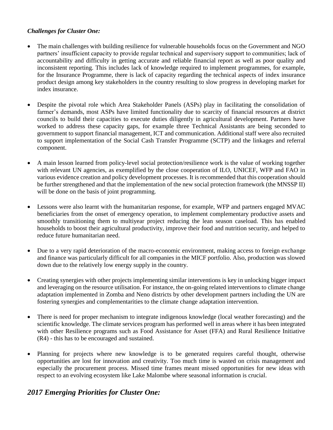#### *Challenges for Cluster One:*

- The main challenges with building resilience for vulnerable households focus on the Government and NGO partners' insufficient capacity to provide regular technical and supervisory support to communities; lack of accountability and difficulty in getting accurate and reliable financial report as well as poor quality and inconsistent reporting. This includes lack of knowledge required to implement programmes, for example, for the Insurance Programme, there is lack of capacity regarding the technical aspects of index insurance product design among key stakeholders in the country resulting to slow progress in developing market for index insurance.
- Despite the pivotal role which Area Stakeholder Panels (ASPs) play in facilitating the consolidation of farmer's demands, most ASPs have limited functionality due to scarcity of financial resources at district councils to build their capacities to execute duties diligently in agricultural development. Partners have worked to address these capacity gaps, for example three Technical Assistants are being seconded to government to support financial management, ICT and communication. Additional staff were also recruited to support implementation of the Social Cash Transfer Programme (SCTP) and the linkages and referral component.
- A main lesson learned from policy-level social protection/resilience work is the value of working together with relevant UN agencies, as exemplified by the close cooperation of ILO, UNICEF, WFP and FAO in various evidence creation and policy development processes. It is recommended that this cooperation should be further strengthened and that the implementation of the new social protection framework (the MNSSP II) will be done on the basis of joint programming.
- Lessons were also learnt with the humanitarian response, for example, WFP and partners engaged MVAC beneficiaries from the onset of emergency operation, to implement complementary productive assets and smoothly transitioning them to multiyear project reducing the lean season caseload. This has enabled households to boost their agricultural productivity, improve their food and nutrition security, and helped to reduce future humanitarian need.
- Due to a very rapid deterioration of the macro-economic environment, making access to foreign exchange and finance was particularly difficult for all companies in the MICF portfolio. Also, production was slowed down due to the relatively low energy supply in the country.
- Creating synergies with other projects implementing similar interventions is key in unlocking bigger impact and leveraging on the resource utilisation. For instance, the on-going related interventions to climate change adaptation implemented in Zomba and Neno districts by other development partners including the UN are fostering synergies and complementarities to the climate change adaptation intervention.
- There is need for proper mechanism to integrate indigenous knowledge (local weather forecasting) and the scientific knowledge. The climate services program has performed well in areas where it has been integrated with other Resilience programs such as Food Assistance for Asset (FFA) and Rural Resilience Initiative (R4) - this has to be encouraged and sustained.
- Planning for projects where new knowledge is to be generated requires careful thought, otherwise opportunities are lost for innovation and creativity. Too much time is wasted on crisis management and especially the procurement process. Missed time frames meant missed opportunities for new ideas with respect to an evolving ecosystem like Lake Malombe where seasonal information is crucial.

## *2017 Emerging Priorities for Cluster One:*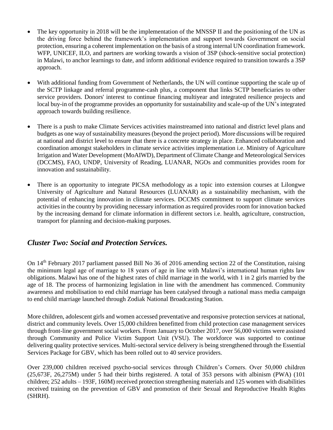- The key opportunity in 2018 will be the implementation of the MNSSP II and the positioning of the UN as the driving force behind the framework's implementation and support towards Government on social protection, ensuring a coherent implementation on the basis of a strong internal UN coordination framework. WFP, UNICEF, ILO, and partners are working towards a vision of 3SP (shock-sensitive social protection) in Malawi, to anchor learnings to date, and inform additional evidence required to transition towards a 3SP approach.
- With additional funding from Government of Netherlands, the UN will continue supporting the scale up of the SCTP linkage and referral programme-cash plus, a component that links SCTP beneficiaries to other service providers. Donors' interest to continue financing multiyear and integrated resilience projects and local buy-in of the programme provides an opportunity for sustainability and scale-up of the UN's integrated approach towards building resilience.
- There is a push to make Climate Services activities mainstreamed into national and district level plans and budgets as one way of sustainability measures (beyond the project period). More discussions will be required at national and district level to ensure that there is a concrete strategy in place. Enhanced collaboration and coordination amongst stakeholders in climate service activities implementation i.e. Ministry of Agriculture Irrigation and Water Development (MoAIWD), Department of Climate Change and Meteorological Services (DCCMS), FAO, UNDP, University of Reading, LUANAR, NGOs and communities provides room for innovation and sustainability.
- There is an opportunity to integrate PICSA methodology as a topic into extension courses at Lilongwe University of Agriculture and Natural Resources (LUANAR) as a sustainability mechanism, with the potential of enhancing innovation in climate services. DCCMS commitment to support climate services activities in the country by providing necessary information as required provides room for innovation backed by the increasing demand for climate information in different sectors i.e. health, agriculture, construction, transport for planning and decision-making purposes.

## <span id="page-13-0"></span>*Cluster Two: Social and Protection Services.*

On 14th February 2017 parliament passed Bill No 36 of 2016 amending section 22 of the Constitution, raising the minimum legal age of marriage to 18 years of age in line with Malawi's international human rights law obligations. Malawi has one of the highest rates of child marriage in the world, with 1 in 2 girls married by the age of 18. The process of harmonizing legislation in line with the amendment has commenced. Community awareness and mobilisation to end child marriage has been catalysed through a national mass media campaign to end child marriage launched through Zodiak National Broadcasting Station.

More children, adolescent girls and women accessed preventative and responsive protection services at national, district and community levels. Over 15,000 children benefitted from child protection case management services through front-line government social workers. From January to October 2017, over 56,000 victims were assisted through Community and Police Victim Support Unit (VSU). The workforce was supported to continue delivering quality protective services. Multi-sectoral service delivery is being strengthened through the Essential Services Package for GBV, which has been rolled out to 40 service providers.

Over 239,000 children received psycho-social services through Children's Corners. Over 50,000 children (25,673F, 26,275M) under 5 had their births registered. A total of 353 persons with albinism (PWA) (101 children; 252 adults – 193F, 160M) received protection strengthening materials and 125 women with disabilities received training on the prevention of GBV and promotion of their Sexual and Reproductive Health Rights (SHRH).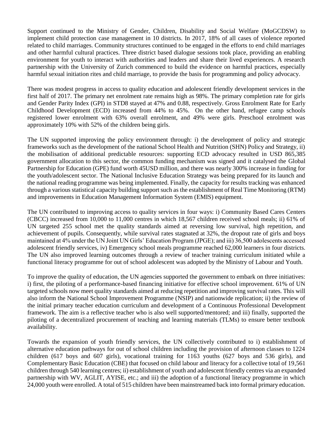Support continued to the Ministry of Gender, Children, Disability and Social Welfare (MoGCDSW) to implement child protection case management in 10 districts. In 2017, 18% of all cases of violence reported related to child marriages. Community structures continued to be engaged in the efforts to end child marriages and other harmful cultural practices. Three district based dialogue sessions took place, providing an enabling environment for youth to interact with authorities and leaders and share their lived experiences. A research partnership with the University of Zurich commenced to build the evidence on harmful practices, especially harmful sexual initiation rites and child marriage, to provide the basis for programming and policy advocacy.

There was modest progress in access to quality education and adolescent friendly development services in the first half of 2017. The primary net enrolment rate remains high as 98%. The primary completion rate for girls and Gender Parity Index (GPI) in STD8 stayed at 47% and 0.88, respectively. Gross Enrolment Rate for Early Childhood Development (ECD) increased from 44% to 45%. On the other hand, refugee camp schools registered lower enrolment with 63% overall enrolment, and 49% were girls. Preschool enrolment was approximately 10% with 52% of the children being girls.

The UN supported improving the policy environment through: i) the development of policy and strategic frameworks such as the development of the national School Health and Nutrition (SHN) Policy and Strategy, ii) the mobilisation of additional predictable resources: supporting ECD advocacy resulted in USD 865,385 government allocation to this sector, the common funding mechanism was signed and it catalysed the Global Partnership for Education (GPE) fund worth 45USD million, and there was nearly 300% increase in funding for the youth/adolescent sector. The National Inclusive Education Strategy was being prepared for its launch and the national reading programme was being implemented. Finally, the capacity for results tracking was enhanced through a various statistical capacity building support such as the establishment of Real Time Monitoring (RTM) and improvements in Education Management Information System (EMIS) equipment.

The UN contributed to improving access to quality services in four ways: i) Community Based Cares Centers (CBCC) increased from 10,000 to 11,000 centres in which 18,567 children received school meals; ii) 61% of UN targeted 255 school met the quality standards aimed at reversing low survival, high repetition, and achievement of pupils. Consequently, while survival rates stagnated at 32%, the dropout rate of girls and boys maintained at 4% under the UN Joint UN Girls' Education Program (JPGE); and iii) 36,500 adolescents accessed adolescent friendly services, iv) Emergency school meals programme reached 62,000 learners in four districts. The UN also improved learning outcomes through a review of teacher training curriculum initiated while a functional literacy programme for out of school adolescent was adopted by the Ministry of Labour and Youth.

To improve the quality of education, the UN agencies supported the government to embark on three initiatives: i) first, the piloting of a performance-based financing initiative for effective school improvement. 61% of UN targeted schools now meet quality standards aimed at reducing repetition and improving survival rates. This will also inform the National School Improvement Programme (NSIP) and nationwide replication; ii) the review of the initial primary teacher education curriculum and development of a Continuous Professional Development framework. The aim is a reflective teacher who is also well supported/mentored; and iii) finally, supported the piloting of a decentralized procurement of teaching and learning materials (TLMs) to ensure better textbook availability.

Towards the expansion of youth friendly services, the UN collectively contributed to i) establishment of alternative education pathways for out of school children including the provision of afternoon classes to 1224 children (617 boys and 607 girls), vocational training for 1163 youths (627 boys and 536 girls), and Complementary Basic Education (CBE) that focused on child labour and literacy for a collective total of 19,561 children through 540 learning centres; ii) establishment of youth and adolescent friendly centres via an expanded partnership with WV, AGLIT, AYISE, etc.; and iii) the adoption of a functional literacy programme in which 24,000 youth were enrolled. A total of 515 children have been mainstreamed back into formal primary education.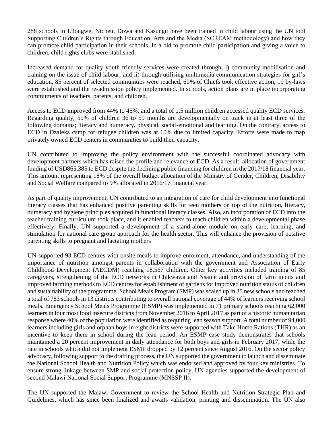288 schools in Lilongwe, Ntcheu, Dowa and Kasungu have been trained in child labour using the UN tool Supporting Children's Rights through Education, Arts and the Media (SCREAM methodology) and how they can promote child participation in their schools. In a bid to promote child participation and giving a voice to children, child rights clubs were stablished.

Increased demand for quality youth-friendly services were created through; i) community mobilisation and training on the issue of child labour; and ii) through utilising multimedia communication strategies for girl's education, 85 percent of selected communities were reached, 60% of Chiefs took effective action, 19 by-laws were established and the re-admission policy implemented. In schools, action plans are in place incorporating commitments of teachers, parents, and children.

Access to ECD improved from 44% to 45%, and a total of 1.5 million children accessed quality ECD services. Regarding quality, 59% of children 36 to 59 months are developmentally on track in at least three of the following domains; literacy and numeracy, physical, social-emotional and learning. On the contrary, access to ECD in Dzaleka camp for refugee children was at 10% due to limited capacity. Efforts were made to map privately owned ECD centers in communities to build their capacity.

UN contributed to improving the policy environment with the successful coordinated advocacy with development partners which has raised the profile and relevance of ECD. As a result, allocation of government funding of USD865,385 to ECD despite the declining public financing for children in the 2017/18 financial year. This amount representing 18% of the overall budget allocation of the Ministry of Gender, Children, Disability and Social Welfare compared to 9% allocated in 2016/17 financial year.

As part of quality improvement, UN contributed to an integration of care for child development into functional literacy classes that has enhanced positive parenting skills for teen mothers on top of the nutrition, literacy, numeracy and hygiene principles acquired in functional literacy classes. Also, an incorporation of ECD into the teacher training curriculum took place, and it enabled teachers to teach children within a developmental phase effectively. Finally, UN supported a development of a stand-alone module on early care, learning, and stimulation for national care group approach for the health sector. This will enhance the provision of positive parenting skills to pregnant and lactating mothers

UN supported 93 ECD centres with onsite meals to improve enrolment, attendance, and understanding of the importance of nutrition amongst parents in collaboration with the government and Association of Early Childhood Development (AECDM) reaching 18,567 children. Other key activities included training of 85 caregivers, strengthening of the ECD networks in Chikwawa and Nsanje and provision of farm inputs and improved farming methods to ECD centres for establishment of gardens for improved nutrition status of children and sustainability of the programme. School Meals Program (SMP) was scaled up in 35 new schools and reached a total of 783 schools in 13 districts contributing to overall national coverage of 44% of learners receiving school meals. Emergency School Meals Programme (ESMP) was implemented in 71 primary schools reaching 62,000 learners in four most food insecure districts from November 2016 to April 2017 as part of a historic humanitarian response where 40% of the population were identified as requiring lean season support. A total number of 94,000 learners including girls and orphan boys in eight districts were supported with Take Home Rations (THR) as an incentive to keep them in school during the lean period. An ESMP case study demonstrates that schools maintained a 20 percent improvement in daily attendance for both boys and girls in February 2017, while the rate in schools which did not implement ESMP dropped by 12 percent since August 2016. On the sector policy advocacy, following support to the drafting process, the UN supported the government to launch and disseminate the National School Health and Nutrition Policy which was endorsed and approved by four key ministries. To ensure strong linkage between SMP and social protection policy, UN agencies supported the development of second Malawi National Social Support Programme (MNSSP II).

The UN supported the Malawi Government to review the School Health and Nutrition Strategic Plan and Guidelines, which has since been finalized and awaits validation, printing and dissemination. The UN also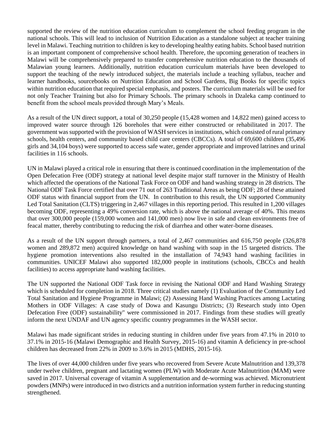supported the review of the nutrition education curriculum to complement the school feeding program in the national schools. This will lead to inclusion of Nutrition Education as a standalone subject at teacher training level in Malawi. Teaching nutrition to children is key to developing healthy eating habits. School based nutrition is an important component of comprehensive school health. Therefore, the upcoming generation of teachers in Malawi will be comprehensively prepared to transfer comprehensive nutrition education to the thousands of Malawian young learners. Additionally, nutrition education curriculum materials have been developed to support the teaching of the newly introduced subject, the materials include a teaching syllabus, teacher and learner handbooks, sourcebooks on Nutrition Education and School Gardens, Big Books for specific topics within nutrition education that required special emphasis, and posters. The curriculum materials will be used for not only Teacher Training but also for Primary Schools. The primary schools in Dzaleka camp continued to benefit from the school meals provided through Mary's Meals.

As a result of the UN direct support, a total of 30,250 people (15,428 women and 14,822 men) gained access to improved water source through 126 boreholes that were either constructed or rehabilitated in 2017. The government was supported with the provision of WASH services in institutions, which consisted of rural primary schools, health centers, and community based child care centers (CBCCs). A total of 69,600 children (35,496 girls and 34,104 boys) were supported to access safe water, gender appropriate and improved latrines and urinal facilities in 116 schools.

UN in Malawi played a critical role in ensuring that there is continued coordination in the implementation of the Open Defecation Free (ODF) strategy at national level despite major staff turnover in the Ministry of Health which affected the operations of the National Task Force on ODF and hand washing strategy in 28 districts. The National ODF Task Force certified that over 71 out of 263 Traditional Areas as being ODF; 28 of these attained ODF status with financial support from the UN. In contribution to this result, the UN supported Community Led Total Sanitation (CLTS) triggering in 2,467 villages in this reporting period. This resulted in 1,200 villages becoming ODF, representing a 49% conversion rate, which is above the national average of 40%. This means that over 300,000 people (159,000 women and 141,000 men) now live in safe and clean environments free of feacal matter, thereby contributing to reducing the risk of diarrhea and other water-borne diseases.

As a result of the UN support through partners, a total of 2,467 communities and 616,750 people (326,878 women and 289,872 men) acquired knowledge on hand washing with soap in the 15 targeted districts. The hygiene promotion interventions also resulted in the installation of 74,943 hand washing facilities in communities. UNICEF Malawi also supported 182,000 people in institutions (schools, CBCCs and health facilities) to access appropriate hand washing facilities.

The UN supported the National ODF Task force in revising the National ODF and Hand Washing Strategy which is scheduled for completion in 2018. Three critical studies namely (1) Evaluation of the Community Led Total Sanitation and Hygiene Programme in Malawi; (2) Assessing Hand Washing Practices among Lactating Mothers in ODF Villages: A case study of Dowa and Kasungu Districts; (3) Research study into Open Defecation Free (ODF) sustainability" were commissioned in 2017. Findings from these studies will greatly inform the next UNDAF and UN agency specific country programmes in the WASH sector.

Malawi has made significant strides in reducing stunting in children under five years from 47.1% in 2010 to 37.1% in 2015-16 (Malawi Demographic and Health Survey, 2015-16) and vitamin A deficiency in pre-school children has decreased from 22% in 2009 to 3.6% in 2015 (MDHS, 2015-16).

The lives of over 44,000 children under five years who recovered from Severe Acute Malnutrition and 139,378 under twelve children, pregnant and lactating women (PLW) with Moderate Acute Malnutrition (MAM) were saved in 2017. Universal coverage of vitamin A supplementation and de-worming was achieved. Micronutrient powders (MNPs) were introduced in two districts and a nutrition information system further in reducing stunting strengthened.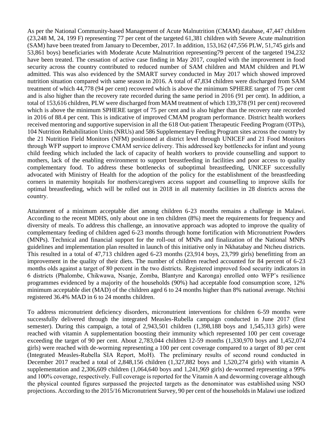As per the National Community-based Management of Acute Malnutrition (CMAM) database, 47,447 children (23,248 M, 24, 199 F) representing 77 per cent of the targeted 61,381 children with Severe Acute malnutrition (SAM) have been treated from January to December, 2017. In addition, 153,162 (47,556 PLW, 51,745 girls and 53,861 boys) beneficiaries with Moderate Acute Malnutrition representing79 percent of the targeted 194,232 have been treated. The cessation of active case finding in May 2017, coupled with the improvement in food security across the country contributed to reduced number of SAM children and MAM children and PLW admitted. This was also evidenced by the SMART survey conducted in May 2017 which showed improved nutrition situation compared with same season in 2016. A total of 47,834 children were discharged from SAM treatment of which 44,778 (94 per cent) recovered which is above the minimum SPHERE target of 75 per cent and is also higher than the recovery rate recorded during the same period in 2016 (91 per cent). In addition, a total of 153,616 children, PLW were discharged from MAM treatment of which 139,378 (91 per cent) recovered which is above the minimum SPHERE target of 75 per cent and is also higher than the recovery rate recorded in 2016 of 88.4 per cent. This is indicative of improved CMAM program performance. District health workers received mentoring and supportive supervision in all the 618 Out-patient Therapeutic Feeding Program (OTPs), 104 Nutrition Rehabilitation Units (NRUs) and 586 Supplementary Feeding Program sites across the country by the 21 Nutrition Field Monitors (NFM) positioned at district level through UNICEF and 21 Food Monitors through WFP support to improve CMAM service delivery. This addressed key bottlenecks for infant and young child feeding which included the lack of capacity of health workers to provide counselling and support to mothers, lack of the enabling environment to support breastfeeding in facilities and poor access to quality complementary food. To address these bottlenecks of suboptimal breastfeeding, UNICEF successfully advocated with Ministry of Health for the adoption of the policy for the establishment of the breastfeeding corners in maternity hospitals for mothers/caregivers access support and counselling to improve skills for optimal breastfeeding, which will be rolled out in 2018 in all maternity facilities in 28 districts across the country. 

Attainment of a minimum acceptable diet among children 6-23 months remains a challenge in Malawi. According to the recent MDHS, only about one in ten children (8%) meet the requirements for frequency and diversity of meals. To address this challenge, an innovative approach was adopted to improve the quality of complementary feeding of children aged 6-23 months through home fortification with Micronutrient Powders (MNPs). Technical and financial support for the roll-out of MNPs and finalization of the National MNPs guidelines and implementation plan resulted in launch of this initiative only in Nkhatabay and Ntcheu districts. This resulted in a total of 47,713 children aged 6-23 months (23,914 boys, 23,799 girls) benefitting from an improvement in the quality of their diets. The number of children reached accounted for 84 percent of 6-23 months olds against a target of 80 percent in the two districts.  Registered improved food security indicators in 6 districts (Phalombe, Chikwawa, Nsanje, Zomba, Blantyre and Karonga) enrolled onto WFP's resilience programmes evidenced by a majority of the households (90%) had acceptable food consumption score, 12% minimum acceptable diet (MAD) of the children aged 6 to 24 months higher than 8% national average. Ntchisi registered 36.4% MAD in 6 to 24 months children.

To address micronutrient deficiency disorders, micronutrient interventions for children 6-59 months were successfully delivered through the integrated Measles-Rubella campaign conducted in June 2017 (first semester). During this campaign, a total of 2,943,501 children (1,398,188 boys and 1,545,313 girls) were reached with vitamin A supplementation boosting their immunity which represented 100 per cent coverage exceeding the target of 90 per cent. About 2,783,044 children 12-59 months (1,330,970 boys and 1,452,074 girls) were reached with de-worming representing a 100 per cent coverage compared to a target of 80 per cent (Integrated Measles-Rubella SIA Report, MoH).  The preliminary results of second round conducted in December 2017 reached a total of 2,848,156 children (1,327,882 boys and 1,520,274 girls) with vitamin A supplementation and 2,306,609 children (1,064,640 boys and 1,241,969 girls) de-wormed representing a 99% and 100% coverage, respectively. Full coverage is reported for the Vitamin A and deworming coverage although the physical counted figures surpassed the projected targets as the denominator was established using NSO projections. According to the 2015/16 Micronutrient Survey, 90 per cent of the households in Malawi use iodized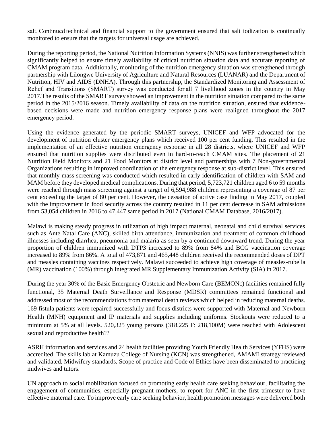salt. Continued technical and financial support to the government ensured that salt iodization is continually monitored to ensure that the targets for universal usage are achieved.

During the reporting period, the National Nutrition Information Systems (NNIS) was further strengthened which significantly helped to ensure timely availability of critical nutrition situation data and accurate reporting of CMAM program data. Additionally, monitoring of the nutrition emergency situation was strengthened through partnership with Lilongwe University of Agriculture and Natural Resources (LUANAR) and the Department of Nutrition, HIV and AIDS (DNHA). Through this partnership, the Standardized Monitoring and Assessment of Relief and Transitions (SMART) survey was conducted for all 7 livelihood zones in the country in May 2017.The results of the SMART survey showed an improvement in the nutrition situation compared to the same period in the 2015/2016 season. Timely availability of data on the nutrition situation, ensured that evidencebased decisions were made and nutrition emergency response plans were realigned throughout the 2017 emergency period. 

Using the evidence generated by the periodic SMART surveys, UNICEF and WFP advocated for the development of nutrition cluster emergency plans which received 100 per cent funding. This resulted in the implementation of an effective nutrition emergency response in all 28 districts, where UNICEF and WFP ensured that nutrition supplies were distributed even in hard-to-reach CMAM sites. The placement of 21 Nutrition Field Monitors and 21 Food Monitors at district level and partnerships with 7 Non-governmental Organizations resulting in improved coordination of the emergency response at sub-district level. This ensured that monthly mass screening was conducted which resulted in early identification of children with SAM and MAM before they developed medical complications. During that period, 5,723,721 children aged 6 to 59 months were reached through mass screening against a target of 6,594,988 children representing a coverage of 87 per cent exceeding the target of 80 per cent. However, the cessation of active case finding in May 2017, coupled with the improvement in food security across the country resulted in 11 per cent decrease in SAM admissions from 53,054 children in 2016 to 47,447 same period in 2017 (National CMAM Database, 2016/2017).

Malawi is making steady progress in utilization of high impact maternal, neonatal and child survival services such as Ante Natal Care (ANC), skilled birth attendance, immunization and treatment of common childhood illnesses including diarrhea, pneumonia and malaria as seen by a continued downward trend. During the year proportion of children immunized with DTP3 increased to 89% from 84% and BCG vaccination coverage increased to 89% from 86%. A total of 473,871 and 465,448 children received the recommended doses of DPT and measles containing vaccines respectively. Malawi succeeded to achieve high coverage of measles-rubella (MR) vaccination (100%) through Integrated MR Supplementary Immunization Activity (SIA) in 2017.

During the year 30% of the Basic Emergency Obstetric and Newborn Care (BEMONc) facilities remained fully functional, 35 Maternal Death Surveillance and Response (MDSR) committees remained functional and addressed most of the recommendations from maternal death reviews which helped in reducing maternal deaths. 169 fistula patients were repaired successfully and focus districts were supported with Maternal and Newborn Health (MNH) equipment and IP materials and supplies including uniforms. Stockouts were reduced to a minimum at 5% at all levels. 520,325 young persons (318,225 F: 218,100M) were reached with Adolescent sexual and reproductive health??

ASRH information and services and 24 health facilities providing Youth Friendly Health Services (YFHS) were accredited. The skills lab at Kamuzu College of Nursing (KCN) was strengthened, AMAMI strategy reviewed and validated, Midwifery standards, Scope of practice and Code of Ethics have been disseminated to practicing midwives and tutors.

UN approach to social mobilization focused on promoting early health care seeking behaviour, facilitating the engagement of communities, especially pregnant mothers, to report for ANC in the first trimester to have effective maternal care. To improve early care seeking behavior, health promotion messages were delivered both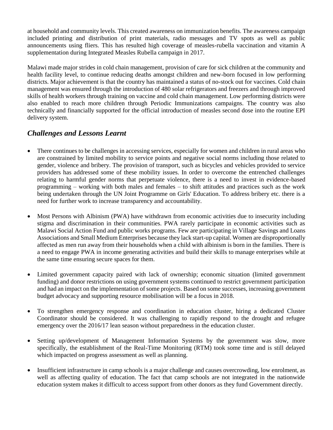at household and community levels. This created awareness on immunization benefits. The awareness campaign included printing and distribution of print materials, radio messages and TV spots as well as public announcements using fliers. This has resulted high coverage of measles-rubella vaccination and vitamin A supplementation during Integrated Measles Rubella campaign in 2017.

Malawi made major strides in cold chain management, provision of care for sick children at the community and health facility level, to continue reducing deaths amongst children and new-born focused in low performing districts. Major achievement is that the country has maintained a status of no-stock out for vaccines. Cold chain management was ensured through the introduction of 480 solar refrigerators and freezers and through improved skills of health workers through training on vaccine and cold chain management. Low performing districts were also enabled to reach more children through Periodic Immunizations campaigns. The country was also technically and financially supported for the official introduction of measles second dose into the routine EPI delivery system.

## *Challenges and Lessons Learnt*

- There continues to be challenges in accessing services, especially for women and children in rural areas who are constrained by limited mobility to service points and negative social norms including those related to gender, violence and bribery. The provision of transport, such as bicycles and vehicles provided to service providers has addressed some of these mobility issues. In order to overcome the entrenched challenges relating to harmful gender norms that perpetuate violence, there is a need to invest in evidence-based programming – working with both males and females – to shift attitudes and practices such as the work being undertaken through the UN Joint Programme on Girls' Education. To address bribery etc. there is a need for further work to increase transparency and accountability.
- Most Persons with Albinism (PWA) have withdrawn from economic activities due to insecurity including stigma and discrimination in their communities. PWA rarely participate in economic activities such as Malawi Social Action Fund and public works programs. Few are participating in Village Savings and Loans Associations and Small Medium Enterprises because they lack start-up capital. Women are disproportionally affected as men run away from their households when a child with albinism is born in the families. There is a need to engage PWA in income generating activities and build their skills to manage enterprises while at the same time ensuring secure spaces for them.
- Limited government capacity paired with lack of ownership; economic situation (limited government funding) and donor restrictions on using government systems continued to restrict government participation and had an impact on the implementation of some projects. Based on some successes, increasing government budget advocacy and supporting resource mobilisation will be a focus in 2018.
- To strengthen emergency response and coordination in education cluster, hiring a dedicated Cluster Coordinator should be considered. It was challenging to rapidly respond to the drought and refugee emergency over the 2016/17 lean season without preparedness in the education cluster.
- Setting up/development of Management Information Systems by the government was slow, more specifically, the establishment of the Real-Time Monitoring (RTM) took some time and is still delayed which impacted on progress assessment as well as planning.
- Insufficient infrastructure in camp schools is a major challenge and causes overcrowding, low enrolment, as well as affecting quality of education. The fact that camp schools are not integrated in the nationwide education system makes it difficult to access support from other donors as they fund Government directly.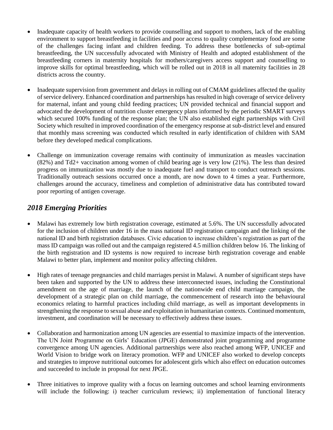- Inadequate capacity of health workers to provide counselling and support to mothers, lack of the enabling environment to support breastfeeding in facilities and poor access to quality complementary food are some of the challenges facing infant and children feeding. To address these bottlenecks of sub-optimal breastfeeding, the UN successfully advocated with Ministry of Health and adopted establishment of the breastfeeding corners in maternity hospitals for mothers/caregivers access support and counselling to improve skills for optimal breastfeeding, which will be rolled out in 2018 in all maternity facilities in 28 districts across the country.
- Inadequate supervision from government and delays in rolling out of CMAM guidelines affected the quality of service delivery. Enhanced coordination and partnerships has resulted in high coverage of service delivery for maternal, infant and young child feeding practices; UN provided technical and financial support and advocated the development of nutrition cluster emergency plans informed by the periodic SMART surveys which secured 100% funding of the response plan; the UN also established eight partnerships with Civil Society which resulted in improved coordination of the emergency response at sub-district level and ensured that monthly mass screening was conducted which resulted in early identification of children with SAM before they developed medical complications.
- Challenge on immunization coverage remains with continuity of immunization as measles vaccination (82%) and Td2+ vaccination among women of child bearing age is very low (21%). The less than desired progress on immunization was mostly due to inadequate fuel and transport to conduct outreach sessions. Traditionally outreach sessions occurred once a month, are now down to 4 times a year. Furthermore, challenges around the accuracy, timeliness and completion of administrative data has contributed toward poor reporting of antigen coverage.

## *2018 Emerging Priorities*

- Malawi has extremely low birth registration coverage, estimated at 5.6%. The UN successfully advocated for the inclusion of children under 16 in the mass national ID registration campaign and the linking of the national ID and birth registration databases. Civic education to increase children's registration as part of the mass ID campaign was rolled out and the campaign registered 4.5 million children below 16. The linking of the birth registration and ID systems is now required to increase birth registration coverage and enable Malawi to better plan, implement and monitor policy affecting children.
- High rates of teenage pregnancies and child marriages persist in Malawi. A number of significant steps have been taken and supported by the UN to address these interconnected issues, including the Constitutional amendment on the age of marriage, the launch of the nationwide end child marriage campaign, the development of a strategic plan on child marriage, the commencement of research into the behavioural economics relating to harmful practices including child marriage, as well as important developments in strengthening the response to sexual abuse and exploitation in humanitarian contexts. Continued momentum, investment, and coordination will be necessary to effectively address these issues.
- Collaboration and harmonization among UN agencies are essential to maximize impacts of the intervention. The UN Joint Programme on Girls' Education (JPGE) demonstrated joint programming and programme convergence among UN agencies. Additional partnerships were also reached among WFP, UNICEF and World Vision to bridge work on literacy promotion. WFP and UNICEF also worked to develop concepts and strategies to improve nutritional outcomes for adolescent girls which also effect on education outcomes and succeeded to include in proposal for next JPGE.
- Three initiatives to improve quality with a focus on learning outcomes and school learning environments will include the following: i) teacher curriculum reviews; ii) implementation of functional literacy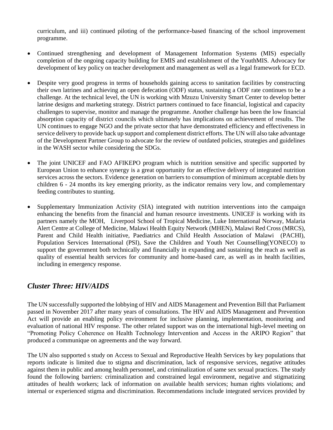curriculum, and iii) continued piloting of the performance-based financing of the school improvement programme.

- Continued strengthening and development of Management Information Systems (MIS) especially completion of the ongoing capacity building for EMIS and establishment of the YouthMIS. Advocacy for development of key policy on teacher development and management as well as a legal framework for ECD.
- Despite very good progress in terms of households gaining access to sanitation facilities by constructing their own latrines and achieving an open defecation (ODF) status, sustaining a ODF rate continues to be a challenge. At the technical level, the UN is working with Mzuzu University Smart Center to develop better latrine designs and marketing strategy. District partners continued to face financial, logistical and capacity challenges to supervise, monitor and manage the programme. Another challenge has been the low financial absorption capacity of district councils which ultimately has implications on achievement of results. The UN continues to engage NGO and the private sector that have demonstrated efficiency and effectiveness in service delivery to provide back up support and complement district efforts. The UN will also take advantage of the Development Partner Group to advocate for the review of outdated policies, strategies and guidelines in the WASH sector while considering the SDGs.
- The joint UNICEF and FAO AFIKEPO program which is nutrition sensitive and specific supported by European Union to enhance synergy is a great opportunity for an effective delivery of integrated nutrition services across the sectors. Evidence generation on barriers to consumption of minimum acceptable diets by children 6 - 24 months its key emerging priority, as the indicator remains very low, and complementary feeding contributes to stunting.
- Supplementary Immunization Activity (SIA) integrated with nutrition interventions into the campaign enhancing the benefits from the financial and human resource investments. UNICEF is working with its partners namely the MOH, Liverpool School of Tropical Medicine, Luke International Norway, Malaria Alert Centre at College of Medicine, Malawi Health Equity Network (MHEN), Malawi Red Cross (MRCS), Parent and Child Health initiative, Paediatrics and Child Health Association of Malawi (PACHI), Population Services International (PSI), Save the Children and Youth Net Counselling(YONECO) to support the government both technically and financially in expanding and sustaining the reach as well as quality of essential health services for community and home-based care, as well as in health facilities, including in emergency response.

## <span id="page-21-0"></span>*Cluster Three: HIV/AIDS*

The UN successfully supported the lobbying of HIV and AIDS Management and Prevention Bill that Parliament passed in November 2017 after many years of consultations. The HIV and AIDS Management and Prevention Act will provide an enabling policy environment for inclusive planning, implementation, monitoring and evaluation of national HIV response. The other related support was on the international high-level meeting on "Promoting Policy Coherence on Health Technology Intervention and Access in the ARIPO Region" that produced a communique on agreements and the way forward.

The UN also supported s study on Access to Sexual and Reproductive Health Services by key populations that reports indicate is limited due to stigma and discrimination, lack of responsive services, negative attitudes against them in public and among health personnel, and criminalization of same sex sexual practices. The study found the following barriers: criminalization and constrained legal environment, negative and stigmatizing attitudes of health workers; lack of information on available health services; human rights violations; and internal or experienced stigma and discrimination. Recommendations include integrated services provided by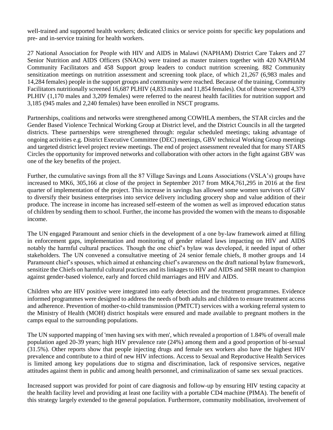well-trained and supported health workers; dedicated clinics or service points for specific key populations and pre- and in-service training for health workers.

27 National Association for People with HIV and AIDS in Malawi (NAPHAM) District Care Takers and 27 Senior Nutrition and AIDS Officers (SNAOs) were trained as master trainers together with 420 NAPHAM Community Facilitators and 458 Support group leaders to conduct nutrition screening. 882 Community sensitization meetings on nutrition assessment and screening took place, of which 21,267 (6,983 males and 14,284 females) people in the support groups and community were reached. Because of the training, Community Facilitators nutritionally screened 16,687 PLHIV (4,833 males and 11,854 females). Out of those screened 4,379 PLHIV (1,170 males and 3,209 females) were referred to the nearest health facilities for nutrition support and 3,185 (945 males and 2,240 females) have been enrolled in NSCT programs.

Partnerships, coalitions and networks were strengthened among COWHLA members, the STAR circles and the Gender Based Violence Technical Working Group at District level, and the District Councils in all the targeted districts. These partnerships were strengthened through: regular scheduled meetings; taking advantage of ongoing activities e.g. District Executive Committee (DEC) meetings, GBV technical Working Group meetings and targeted district level project review meetings. The end of project assessment revealed that for many STARS Circles the opportunity for improved networks and collaboration with other actors in the fight against GBV was one of the key benefits of the project.

Further, the cumulative savings from all the 87 Village Savings and Loans Associations (VSLA's) groups have increased to MK6, 305,166 at close of the project in September 2017 from MK4,761,295 in 2016 at the first quarter of implementation of the project. This increase in savings has allowed some women survivors of GBV to diversify their business enterprises into service delivery including grocery shop and value addition of their produce. The increase in income has increased self-esteem of the women as well as improved education status of children by sending them to school. Further, the income has provided the women with the means to disposable income.

The UN engaged Paramount and senior chiefs in the development of a one by-law framework aimed at filling in enforcement gaps, implementation and monitoring of gender related laws impacting on HIV and AIDS notably the harmful cultural practices. Though the one chief's bylaw was developed, it needed input of other stakeholders. The UN convened a consultative meeting of 24 senior female chiefs, 8 mother groups and 14 Paramount chief's spouses, which aimed at enhancing chief's awareness on the draft national bylaw framework, sensitize the Chiefs on harmful cultural practices and its linkages to HIV and AIDS and SHR meant to champion against gender-based violence, early and forced child marriages and HIV and AIDS.

Children who are HIV positive were integrated into early detection and the treatment programmes. Evidence informed programmes were designed to address the needs of both adults and children to ensure treatment access and adherence. Prevention of mother-to-child transmission (PMTCT) services with a working referral system to the Ministry of Health (MOH) district hospitals were ensured and made available to pregnant mothers in the camps equal to the surrounding populations.

The UN supported mapping of 'men having sex with men', which revealed a proportion of 1.84% of overall male population aged 20-39 years; high HIV prevalence rate (24%) among them and a good proportion of bi-sexual (31.5%). Other reports show that people injecting drugs and female sex workers also have the highest HIV prevalence and contribute to a third of new HIV infections. Access to Sexual and Reproductive Health Services is limited among key populations due to stigma and discrimination, lack of responsive services, negative attitudes against them in public and among health personnel, and criminalization of same sex sexual practices.

Increased support was provided for point of care diagnosis and follow-up by ensuring HIV testing capacity at the health facility level and providing at least one facility with a portable CD4 machine (PIMA). The benefit of this strategy largely extended to the general population. Furthermore, community mobilisation, involvement of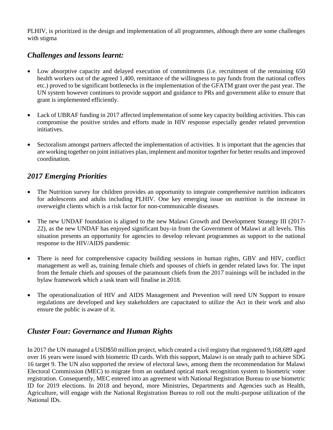PLHIV, is prioritized in the design and implementation of all programmes, although there are some challenges with stigma

## *Challenges and lessons learnt:*

- Low absorptive capacity and delayed execution of commitments (i.e. recruitment of the remaining 650 health workers out of the agreed 1,400, remittance of the willingness to pay funds from the national coffers etc.) proved to be significant bottlenecks in the implementation of the GFATM grant over the past year. The UN system however continues to provide support and guidance to PRs and government alike to ensure that grant is implemented efficiently.
- Lack of UBRAF funding in 2017 affected implementation of some key capacity building activities. This can compromise the positive strides and efforts made in HIV response especially gender related prevention initiatives.
- Sectoralism amongst partners affected the implementation of activities. It is important that the agencies that are working together on joint initiatives plan, implement and monitor together for better results and improved coordination.

## *2017 Emerging Priorities*

- The Nutrition survey for children provides an opportunity to integrate comprehensive nutrition indicators for adolescents and adults including PLHIV. One key emerging issue on nutrition is the increase in overweight clients which is a risk factor for non-communicable diseases.
- The new UNDAF foundation is aligned to the new Malawi Growth and Development Strategy III (2017-22), as the new UNDAF has enjoyed significant buy-in from the Government of Malawi at all levels. This situation presents an opportunity for agencies to develop relevant programmes as support to the national response to the HIV/AIDS pandemic
- There is need for comprehensive capacity building sessions in human rights, GBV and HIV, conflict management as well as, training female chiefs and spouses of chiefs in gender related laws for. The input from the female chiefs and spouses of the paramount chiefs from the 2017 trainings will be included in the bylaw framework which a task team will finalise in 2018.
- The operationalization of HIV and AIDS Management and Prevention will need UN Support to ensure regulations are developed and key stakeholders are capacitated to utilize the Act in their work and also ensure the public is aware of it.

## <span id="page-23-0"></span>*Cluster Four: Governance and Human Rights*

In 2017 the UN managed a USD\$50 million project, which created a civil registry that registered 9,168,689 aged over 16 years were issued with biometric ID cards. With this support, Malawi is on steady path to achieve SDG 16 target 9. The UN also supported the review of electoral laws, among them the recommendation for Malawi Electoral Commission (MEC) to migrate from an outdated optical mark recognition system to biometric voter registration. Consequently, MEC entered into an agreement with National Registration Bureau to use biometric ID for 2019 elections. In 2018 and beyond, more Ministries, Departments and Agencies such as Health, Agriculture, will engage with the National Registration Bureau to roll out the multi-purpose utilization of the National IDs.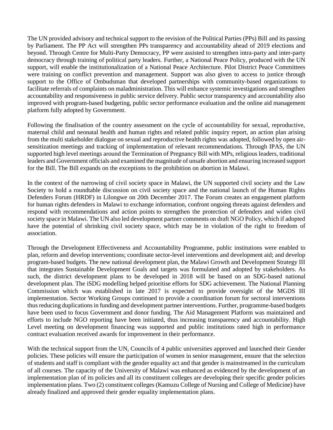The UN provided advisory and technical support to the revision of the Political Parties (PPs) Bill and its passing by Parliament. The PP Act will strengthen PPs transparency and accountability ahead of 2019 elections and beyond. Through Centre for Multi-Party Democracy, PP were assisted to strengthen intra-party and inter-party democracy through training of political party leaders. Further, a National Peace Policy, produced with the UN support, will enable the institutionalization of a National Peace Architecture. Pilot District Peace Committees were training on conflict prevention and management. Support was also given to access to justice through support to the Office of Ombudsman that developed partnerships with community-based organizations to facilitate referrals of complaints on maladministration. This will enhance systemic investigations and strengthen accountability and responsiveness in public service delivery. Public sector transparency and accountability also improved with program-based budgeting, public sector performance evaluation and the online aid management platform fully adopted by Government.

Following the finalisation of the country assessment on the cycle of accountability for sexual, reproductive, maternal child and neonatal health and human rights and related public inquiry report, an action plan arising from the multi stakeholder dialogue on sexual and reproductive health rights was adopted, followed by open airsensitization meetings and tracking of implementation of relevant recommendations. Through IPAS, the UN supported high level meetings around the Termination of Pregnancy Bill with MPs, religious leaders, traditional leaders and Government officials and examined the magnitude of unsafe abortion and ensuring increased support for the Bill. The Bill expands on the exceptions to the prohibition on abortion in Malawi.

In the context of the narrowing of civil society space in Malawi, the UN supported civil society and the Law Society to hold a roundtable discussion on civil society space and the national launch of the Human Rights Defenders Forum (HRDF) in Lilongwe on 20th December 2017. The Forum creates an engagement platform for human rights defenders in Malawi to exchange information, confront ongoing threats against defenders and respond with recommendations and action points to strengthen the protection of defenders and widen civil society space in Malawi. The UN also led development partner comments on draft NGO Policy, which if adopted have the potential of shrinking civil society space, which may be in violation of the right to freedom of association.

Through the Development Effectiveness and Accountability Programme, public institutions were enabled to plan, reform and develop interventions; coordinate sector-level interventions and development aid; and develop program-based budgets. The new national development plan, the Malawi Growth and Development Strategy III that integrates Sustainable Development Goals and targets was formulated and adopted by stakeholders. As such, the district development plans to be developed in 2018 will be based on an SDG-based national development plan. The iSDG modelling helped prioritise efforts for SDG achievement. The National Planning Commission which was established in late 2017 is expected to provide oversight of the MGDS III implementation. Sector Working Groups continued to provide a coordination forum for sectoral interventions thus reducing duplications in funding and development partner interventions. Further, programme-based budgets have been used to focus Government and donor funding. The Aid Management Platform was maintained and efforts to include NGO reporting have been initiated, thus increasing transparency and accountability. High Level meeting on development financing was supported and public institutions rated high in performance contract evaluation received awards for improvement in their performance.

With the technical support from the UN, Councils of 4 public universities approved and launched their Gender policies. These policies will ensure the participation of women in senior management, ensure that the selection of students and staff is compliant with the gender equality act and that gender is mainstreamed in the curriculum of all courses. The capacity of the University of Malawi was enhanced as evidenced by the development of an implementation plan of its policies and all its constituent colleges are developing their specific gender policies implementation plans. Two (2) constituent colleges (Kamuzu College of Nursing and College of Medicine) have already finalized and approved their gender equality implementation plans.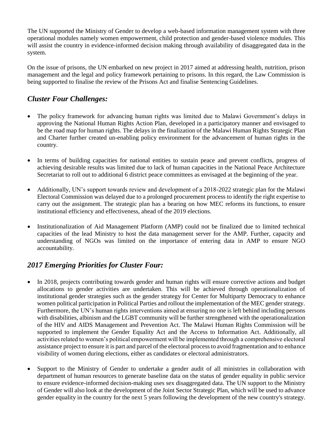The UN supported the Ministry of Gender to develop a web-based information management system with three operational modules namely women empowerment, child protection and gender-based violence modules. This will assist the country in evidence-informed decision making through availability of disaggregated data in the system.

On the issue of prisons, the UN embarked on new project in 2017 aimed at addressing health, nutrition, prison management and the legal and policy framework pertaining to prisons. In this regard, the Law Commission is being supported to finalise the review of the Prisons Act and finalise Sentencing Guidelines.

## *Cluster Four Challenges:*

- The policy framework for advancing human rights was limited due to Malawi Government's delays in approving the National Human Rights Action Plan, developed in a participatory manner and envisaged to be the road map for human rights. The delays in the finalization of the Malawi Human Rights Strategic Plan and Charter further created un-enabling policy environment for the advancement of human rights in the country.
- In terms of building capacities for national entities to sustain peace and prevent conflicts, progress of achieving desirable results was limited due to lack of human capacities in the National Peace Architecture Secretariat to roll out to additional 6 district peace committees as envisaged at the beginning of the year.
- Additionally, UN's support towards review and development of a 2018-2022 strategic plan for the Malawi Electoral Commission was delayed due to a prolonged procurement process to identify the right expertise to carry out the assignment. The strategic plan has a bearing on how MEC reforms its functions, to ensure institutional efficiency and effectiveness, ahead of the 2019 elections.
- Institutionalization of Aid Management Platform (AMP) could not be finalized due to limited technical capacities of the lead Ministry to host the data management server for the AMP. Further, capacity and understanding of NGOs was limited on the importance of entering data in AMP to ensure NGO accountability.

## *2017 Emerging Priorities for Cluster Four:*

- In 2018, projects contributing towards gender and human rights will ensure corrective actions and budget allocations to gender activities are undertaken. This will be achieved through operationalization of institutional gender strategies such as the gender strategy for Center for Multiparty Democracy to enhance women political participation in Political Parties and rollout the implementation of the MEC gender strategy. Furthermore, the UN's human rights interventions aimed at ensuring no one is left behind including persons with disabilities, albinism and the LGBT community will be further strengthened with the operationalization of the HIV and AIDS Management and Prevention Act. The Malawi Human Rights Commission will be supported to implement the Gender Equality Act and the Access to Information Act. Additionally, all activities related to women's political empowerment will be implemented through a comprehensive electoral assistance project to ensure it is part and parcel of the electoral process to avoid fragmentation and to enhance visibility of women during elections, either as candidates or electoral administrators.
- Support to the Ministry of Gender to undertake a gender audit of all ministries in collaboration with department of human resources to generate baseline data on the status of gender equality in public service to ensure evidence-informed decision-making uses sex disaggregated data. The UN support to the Ministry of Gender will also look at the development of the Joint Sector Strategic Plan, which will be used to advance gender equality in the country for the next 5 years following the development of the new country's strategy.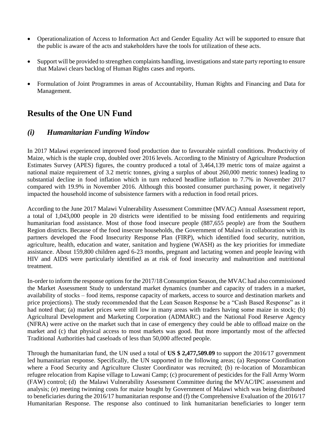- Operationalization of Access to Information Act and Gender Equality Act will be supported to ensure that the public is aware of the acts and stakeholders have the tools for utilization of these acts.
- Support will be provided to strengthen complaints handling, investigations and state party reporting to ensure that Malawi clears backlog of Human Rights cases and reports.
- Formulation of Joint Programmes in areas of Accountability, Human Rights and Financing and Data for Management.

## <span id="page-26-0"></span>**Results of the One UN Fund**

#### <span id="page-26-1"></span>*(i) Humanitarian Funding Window*

In 2017 Malawi experienced improved food production due to favourable rainfall conditions. Productivity of Maize, which is the staple crop, doubled over 2016 levels. According to the Ministry of Agriculture Production Estimates Survey (APES) figures, the country produced a total of 3,464,139 metric tons of maize against a national maize requirement of 3.2 metric tonnes, giving a surplus of about 260,000 metric tonnes) leading to substantial decline in food inflation which in turn reduced headline inflation to 7.7% in November 2017 compared with 19.9% in November 2016. Although this boosted consumer purchasing power, it negatively impacted the household income of subsistence farmers with a reduction in food retail prices.

According to the June 2017 Malawi Vulnerability Assessment Committee (MVAC) Annual Assessment report, a total of 1,043,000 people in 20 districts were identified to be missing food entitlements and requiring humanitarian food assistance. Most of those food insecure people (887,655 people) are from the Southern Region districts. Because of the food insecure households, the Government of Malawi in collaboration with its partners developed the Food Insecurity Response Plan (FIRP), which identified food security, nutrition, agriculture, health, education and water, sanitation and hygiene (WASH) as the key priorities for immediate assistance. About 159,800 children aged 6-23 months, pregnant and lactating women and people leaving with HIV and AIDS were particularly identified as at risk of food insecurity and malnutrition and nutritional treatment.

In-order to inform the response options for the 2017/18 Consumption Season, the MVAC had also commissioned the Market Assessment Study to understand market dynamics (number and capacity of traders in a market, availability of stocks – food items, response capacity of markets, access to source and destination markets and price projections). The study recommended that the Lean Season Response be a "Cash Based Response" as it had noted that; (a) market prices were still low in many areas with traders having some maize in stock; (b) Agricultural Development and Marketing Corporation (ADMARC) and the National Food Reserve Agency (NFRA) were active on the market such that in case of emergency they could be able to offload maize on the market and (c) that physical access to most markets was good. But more importantly most of the affected Traditional Authorities had caseloads of less than 50,000 affected people.

Through the humanitarian fund, the UN used a total of **US \$ 2,477,509.09** to support the 2016/17 government led humanitarian response. Specifically, the UN supported in the following areas; (a) Response Coordination where a Food Security and Agriculture Cluster Coordinator was recruited; (b) re-location of Mozambican refugee relocation from Kapise village to Luwani Camp; (c) procurement of pesticides for the Fall Army Worm (FAW) control; (d) the Malawi Vulnerability Assessment Committee during the MVAC/IPC assessment and analysis; (e) meeting twinning costs for maize bought by Government of Malawi which was being distributed to beneficiaries during the 2016/17 humanitarian response and (f) the Comprehensive Evaluation of the 2016/17 Humanitarian Response. The response also continued to link humanitarian beneficiaries to longer term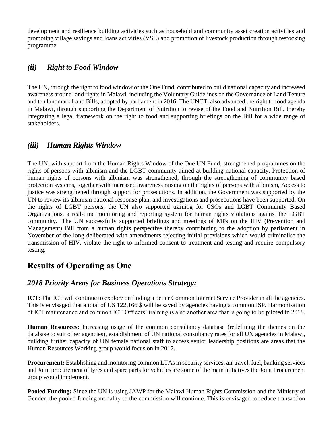development and resilience building activities such as household and community asset creation activities and promoting village savings and loans activities (VSL) and promotion of livestock production through restocking programme.

#### <span id="page-27-0"></span>*(ii) Right to Food Window*

The UN, through the right to food window of the One Fund, contributed to build national capacity and increased awareness around land rights in Malawi, including the Voluntary Guidelines on the Governance of Land Tenure and ten landmark Land Bills, adopted by parliament in 2016. The UNCT, also advanced the right to food agenda in Malawi, through supporting the Department of Nutrition to revise of the Food and Nutrition Bill, thereby integrating a legal framework on the right to food and supporting briefings on the Bill for a wide range of stakeholders.

## <span id="page-27-1"></span>*(iii) Human Rights Window*

The UN, with support from the Human Rights Window of the One UN Fund, strengthened programmes on the rights of persons with albinism and the LGBT community aimed at building national capacity. Protection of human rights of persons with albinism was strengthened, through the strengthening of community based protection systems, together with increased awareness raising on the rights of persons with albinism, Access to justice was strengthened through support for prosecutions. In addition, the Government was supported by the UN to review its albinism national response plan, and investigations and prosecutions have been supported. On the rights of LGBT persons, the UN also supported training for CSOs and LGBT Community Based Organizations, a real-time monitoring and reporting system for human rights violations against the LGBT community. The UN successfully supported briefings and meetings of MPs on the HIV (Prevention and Management) Bill from a human rights perspective thereby contributing to the adoption by parliament in November of the long-deliberated with amendments rejecting initial provisions which would criminalise the transmission of HIV, violate the right to informed consent to treatment and testing and require compulsory testing.

# <span id="page-27-2"></span>**Results of Operating as One**

## *2018 Priority Areas for Business Operations Strategy:*

**ICT:** The ICT will continue to explore on finding a better Common Internet Service Provider in all the agencies. This is envisaged that a total of US 122,166 \$ will be saved by agencies having a common ISP. Harmonisation of ICT maintenance and common ICT Officers' training is also another area that is going to be piloted in 2018.

**Human Resources:** Increasing usage of the common consultancy database (redefining the themes on the database to suit other agencies), establishment of UN national consultancy rates for all UN agencies in Malawi, building further capacity of UN female national staff to access senior leadership positions are areas that the Human Resources Working group would focus on in 2017.

**Procurement:** Establishing and monitoring common LTAs in security services, air travel, fuel, banking services and Joint procurement of tyres and spare parts for vehicles are some of the main initiatives the Joint Procurement group would implement.

**Pooled Funding:** Since the UN is using JAWP for the Malawi Human Rights Commission and the Ministry of Gender, the pooled funding modality to the commission will continue. This is envisaged to reduce transaction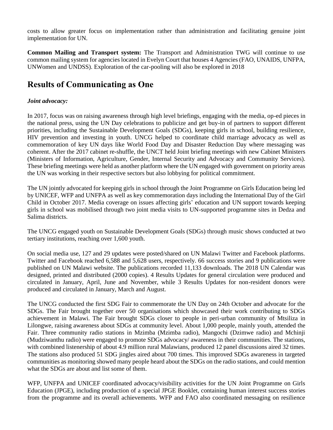costs to allow greater focus on implementation rather than administration and facilitating genuine joint implementation for UN.

**Common Mailing and Transport system:** The Transport and Administration TWG will continue to use common mailing system for agencies located in Evelyn Court that houses 4 Agencies (FAO, UNAIDS, UNFPA, UNWomen and UNDSS). Exploration of the car-pooling will also be explored in 2018

# <span id="page-28-0"></span>**Results of Communicating as One**

#### *Joint advocacy:*

In 2017, focus was on raising awareness through high level briefings, engaging with the media, op-ed pieces in the national press, using the UN Day celebrations to publicize and get buy-in of partners to support different priorities, including the Sustainable Development Goals (SDGs), keeping girls in school, building resilience, HIV prevention and investing in youth. UNCG helped to coordinate child marriage advocacy as well as commemoration of key UN days like World Food Day and Disaster Reduction Day where messaging was coherent. After the 2017 cabinet re-shuffle, the UNCT held Joint briefing meetings with new Cabinet Ministers (Ministers of Information, Agriculture, Gender, Internal Security and Advocacy and Community Services). These briefing meetings were held as another platform where the UN engaged with government on priority areas the UN was working in their respective sectors but also lobbying for political commitment.

The UN jointly advocated for keeping girls in school through the Joint Programme on Girls Education being led by UNICEF, WFP and UNFPA as well as key commemoration days including the International Day of the Girl Child in October 2017. Media coverage on issues affecting girls' education and UN support towards keeping girls in school was mobilised through two joint media visits to UN-supported programme sites in Dedza and Salima districts.

The UNCG engaged youth on Sustainable Development Goals (SDGs) through music shows conducted at two tertiary institutions, reaching over 1,600 youth.

On social media use, 127 and 29 updates were posted/shared on UN Malawi Twitter and Facebook platforms. Twitter and Facebook reached 6,588 and 5,628 users, respectively. 66 success stories and 9 publications were published on UN Malawi website. The publications recorded 11,133 downloads. The 2018 UN Calendar was designed, printed and distributed (2000 copies). 4 Results Updates for general circulation were produced and circulated in January, April, June and November, while 3 Results Updates for non-resident donors were produced and circulated in January, March and August.

The UNCG conducted the first SDG Fair to commemorate the UN Day on 24th October and advocate for the SDGs. The Fair brought together over 50 organisations which showcased their work contributing to SDGs achievement in Malawi. The Fair brought SDGs closer to people in peri-urban community of Mtsiliza in Lilongwe, raising awareness about SDGs at community level. About 1,000 people, mainly youth, attended the Fair. Three community radio stations in Mzimba (Mzimba radio), Mangochi (Dzimwe radio) and Mchinji (Mudziwanthu radio) were engaged to promote SDGs advocacy/ awareness in their communities. The stations, with combined listenership of about 4.9 million rural Malawians, produced 12 panel discussions aired 32 times. The stations also produced 51 SDG jingles aired about 700 times. This improved SDGs awareness in targeted communities as monitoring showed many people heard about the SDGs on the radio stations, and could mention what the SDGs are about and list some of them.

WFP, UNFPA and UNICEF coordinated advocacy/visibility activities for the UN Joint Programme on Girls Education (JPGE), including production of a special JPGE Booklet, containing human interest success stories from the programme and its overall achievements. WFP and FAO also coordinated messaging on resilience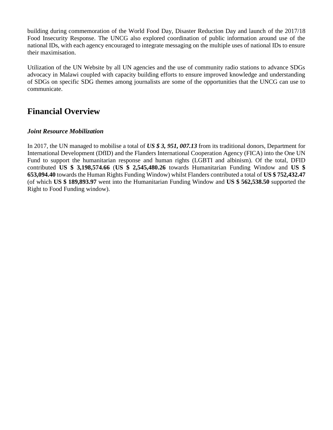building during commemoration of the World Food Day, Disaster Reduction Day and launch of the 2017/18 Food Insecurity Response. The UNCG also explored coordination of public information around use of the national IDs, with each agency encouraged to integrate messaging on the multiple uses of national IDs to ensure their maximisation.

Utilization of the UN Website by all UN agencies and the use of community radio stations to advance SDGs advocacy in Malawi coupled with capacity building efforts to ensure improved knowledge and understanding of SDGs on specific SDG themes among journalists are some of the opportunities that the UNCG can use to communicate.

# <span id="page-29-0"></span>**Financial Overview**

#### *Joint Resource Mobilization*

In 2017, the UN managed to mobilise a total of *US \$ 3, 951, 007.13* from its traditional donors, Department for International Development (DfID) and the Flanders International Cooperation Agency (FICA) into the One UN Fund to support the humanitarian response and human rights (LGBTI and albinism). Of the total, DFID contributed **US \$ 3,198,574.66** (**US \$ 2,545,480.26** towards Humanitarian Funding Window and **US \$ 653,094.40** towards the Human Rights Funding Window) whilst Flanders contributed a total of **US \$ 752,432.47** (of which **US \$ 189,893.97** went into the Humanitarian Funding Window and **US \$ 562,538.50** supported the Right to Food Funding window).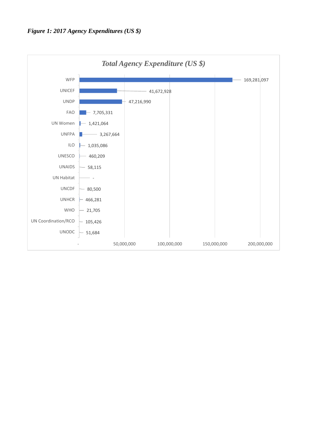<span id="page-30-0"></span>

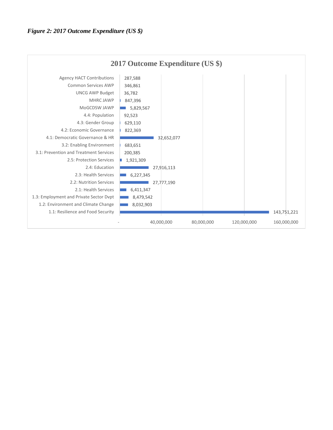<span id="page-31-0"></span>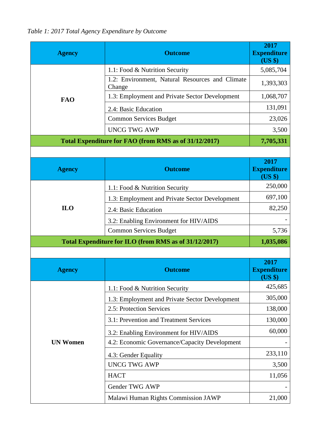<span id="page-32-0"></span>*Table 1: 2017 Total Agency Expenditure by Outcome*

| <b>Agency</b>                                         | <b>Outcome</b>                                            | 2017<br><b>Expenditure</b><br>(US \$) |  |
|-------------------------------------------------------|-----------------------------------------------------------|---------------------------------------|--|
|                                                       | 1.1: Food & Nutrition Security                            | 5,085,704                             |  |
|                                                       | 1.2: Environment, Natural Resources and Climate<br>Change | 1,393,303                             |  |
| <b>FAO</b>                                            | 1.3: Employment and Private Sector Development            | 1,068,707                             |  |
|                                                       | 2.4: Basic Education                                      | 131,091                               |  |
|                                                       | <b>Common Services Budget</b>                             | 23,026                                |  |
|                                                       | <b>UNCG TWG AWP</b>                                       | 3,500                                 |  |
|                                                       | Total Expenditure for FAO (from RMS as of 31/12/2017)     | 7,705,331                             |  |
|                                                       |                                                           |                                       |  |
| <b>Agency</b>                                         | <b>Outcome</b>                                            | 2017<br><b>Expenditure</b><br>(US \$) |  |
|                                                       | 1.1: Food & Nutrition Security                            | 250,000                               |  |
|                                                       | 1.3: Employment and Private Sector Development            | 697,100                               |  |
| <b>ILO</b>                                            | 2.4: Basic Education                                      | 82,250                                |  |
|                                                       | 3.2: Enabling Environment for HIV/AIDS                    |                                       |  |
|                                                       | <b>Common Services Budget</b>                             | 5,736                                 |  |
| Total Expenditure for ILO (from RMS as of 31/12/2017) | 1,035,086                                                 |                                       |  |
|                                                       |                                                           |                                       |  |
| <b>Agency</b>                                         | <b>Outcome</b>                                            | 2017<br><b>Expenditure</b><br>$(US \$ |  |
|                                                       | 1.1: Food & Nutrition Security                            | 425,685                               |  |
|                                                       | 1.3: Employment and Private Sector Development            | 305,000                               |  |
|                                                       | 2.5: Protection Services                                  | 138,000                               |  |
|                                                       | 3.1: Prevention and Treatment Services                    | 130,000                               |  |
|                                                       | 3.2: Enabling Environment for HIV/AIDS                    | 60,000                                |  |
| <b>UN Women</b>                                       | 4.2: Economic Governance/Capacity Development             |                                       |  |
|                                                       | 4.3: Gender Equality                                      | 233,110                               |  |
|                                                       | <b>UNCG TWG AWP</b>                                       | 3,500                                 |  |
|                                                       | <b>HACT</b>                                               | 11,056                                |  |
|                                                       | Gender TWG AWP                                            |                                       |  |
|                                                       | Malawi Human Rights Commission JAWP                       | 21,000                                |  |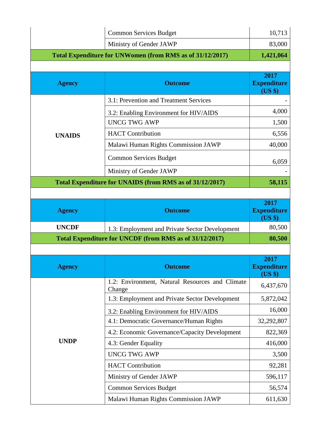|                                                           | <b>Common Services Budget</b>                                        | 10,713                                |
|-----------------------------------------------------------|----------------------------------------------------------------------|---------------------------------------|
|                                                           | Ministry of Gender JAWP                                              | 83,000                                |
| Total Expenditure for UNWomen (from RMS as of 31/12/2017) | 1,421,064                                                            |                                       |
|                                                           |                                                                      |                                       |
| <b>Agency</b>                                             | <b>Outcome</b>                                                       | 2017<br><b>Expenditure</b><br>(US \$) |
|                                                           | 3.1: Prevention and Treatment Services                               |                                       |
|                                                           | 3.2: Enabling Environment for HIV/AIDS<br><b>UNCG TWG AWP</b>        | 4,000<br>1,500                        |
| <b>UNAIDS</b>                                             | <b>HACT</b> Contribution                                             | 6,556                                 |
|                                                           | Malawi Human Rights Commission JAWP                                  | 40,000                                |
|                                                           | <b>Common Services Budget</b>                                        | 6,059                                 |
|                                                           | Ministry of Gender JAWP                                              |                                       |
|                                                           | Total Expenditure for UNAIDS (from RMS as of 31/12/2017)             | 58,115                                |
|                                                           |                                                                      |                                       |
| <b>Agency</b>                                             | <b>Outcome</b>                                                       | 2017<br><b>Expenditure</b>            |
|                                                           |                                                                      | (US \$)                               |
| <b>UNCDF</b>                                              | 1.3: Employment and Private Sector Development                       | 80,500                                |
|                                                           | Total Expenditure for UNCDF (from RMS as of 31/12/2017)              | 80,500                                |
|                                                           |                                                                      |                                       |
| Agency                                                    | <b>Outcome</b>                                                       | 2017<br><b>Expenditure</b><br>(US \$) |
|                                                           | 1.2: Environment, Natural Resources and Climate<br>Change            | 6,437,670                             |
|                                                           | 1.3: Employment and Private Sector Development                       | 5,872,042                             |
|                                                           | 3.2: Enabling Environment for HIV/AIDS                               | 16,000                                |
|                                                           | 4.1: Democratic Governance/Human Rights                              | 32,292,807                            |
|                                                           | 4.2: Economic Governance/Capacity Development                        | 822,369                               |
| <b>UNDP</b>                                               | 4.3: Gender Equality                                                 | 416,000                               |
|                                                           | <b>UNCG TWG AWP</b>                                                  | 3,500                                 |
|                                                           | <b>HACT</b> Contribution                                             | 92,281                                |
|                                                           | Ministry of Gender JAWP                                              | 596,117                               |
|                                                           | <b>Common Services Budget</b><br>Malawi Human Rights Commission JAWP | 56,574<br>611,630                     |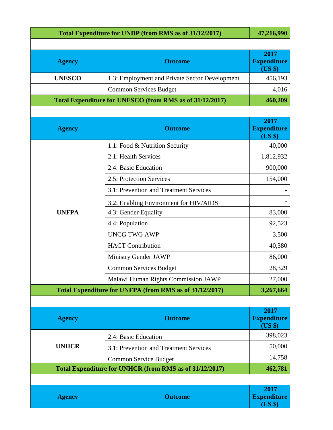| Total Expenditure for UNDP (from RMS as of 31/12/2017)               | 47,216,990                                               |                                       |  |
|----------------------------------------------------------------------|----------------------------------------------------------|---------------------------------------|--|
|                                                                      |                                                          |                                       |  |
| <b>Agency</b>                                                        | <b>Outcome</b>                                           | 2017<br><b>Expenditure</b><br>(US \$) |  |
| <b>UNESCO</b>                                                        | 1.3: Employment and Private Sector Development           | 456,193                               |  |
|                                                                      | <b>Common Services Budget</b>                            | 4,016                                 |  |
|                                                                      | Total Expenditure for UNESCO (from RMS as of 31/12/2017) | 460,209                               |  |
|                                                                      |                                                          |                                       |  |
| <b>Agency</b>                                                        | <b>Outcome</b>                                           | 2017<br><b>Expenditure</b><br>(US \$) |  |
|                                                                      | 1.1: Food & Nutrition Security                           | 40,000                                |  |
|                                                                      | 2.1: Health Services                                     | 1,812,932                             |  |
|                                                                      | 2.4: Basic Education                                     | 900,000                               |  |
|                                                                      | 2.5: Protection Services                                 | 154,000                               |  |
|                                                                      | 3.1: Prevention and Treatment Services                   |                                       |  |
|                                                                      | 3.2: Enabling Environment for HIV/AIDS                   |                                       |  |
| <b>UNFPA</b>                                                         | 4.3: Gender Equality                                     | 83,000                                |  |
|                                                                      | 4.4: Population                                          | 92,523                                |  |
|                                                                      | <b>UNCG TWG AWP</b>                                      | 3,500                                 |  |
|                                                                      | <b>HACT</b> Contribution                                 | 40,380                                |  |
|                                                                      | Ministry Gender JAWP                                     | 86,000                                |  |
|                                                                      | <b>Common Services Budget</b>                            | 28,329                                |  |
|                                                                      | Malawi Human Rights Commission JAWP                      | 27,000                                |  |
| Total Expenditure for UNFPA (from RMS as of 31/12/2017)<br>3,267,664 |                                                          |                                       |  |
|                                                                      |                                                          |                                       |  |
| <b>Agency</b>                                                        | <b>Outcome</b>                                           | 2017<br><b>Expenditure</b><br>(US \$) |  |
|                                                                      | 2.4: Basic Education                                     | 398,023                               |  |
| <b>UNHCR</b>                                                         | 3.1: Prevention and Treatment Services                   | 50,000                                |  |
|                                                                      | <b>Common Service Budget</b>                             | 14,758                                |  |
| Total Expenditure for UNHCR (from RMS as of 31/12/2017)              |                                                          |                                       |  |
|                                                                      |                                                          |                                       |  |
| <b>Agency</b>                                                        | <b>Outcome</b>                                           | 2017<br><b>Expenditure</b><br>(US \$) |  |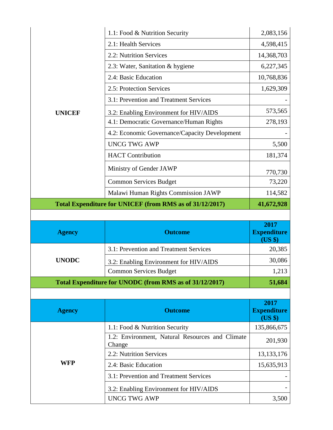|                                                          | 1.1: Food & Nutrition Security                            | 2,083,156                             |
|----------------------------------------------------------|-----------------------------------------------------------|---------------------------------------|
|                                                          | 2.1: Health Services                                      | 4,598,415                             |
|                                                          | 2.2: Nutrition Services                                   | 14,368,703                            |
|                                                          | 2.3: Water, Sanitation & hygiene                          | 6,227,345                             |
|                                                          | 2.4: Basic Education                                      | 10,768,836                            |
|                                                          | 2.5: Protection Services                                  | 1,629,309                             |
|                                                          | 3.1: Prevention and Treatment Services                    |                                       |
| <b>UNICEF</b>                                            | 3.2: Enabling Environment for HIV/AIDS                    | 573,565                               |
|                                                          | 4.1: Democratic Governance/Human Rights                   | 278,193                               |
|                                                          | 4.2: Economic Governance/Capacity Development             |                                       |
|                                                          | <b>UNCG TWG AWP</b>                                       | 5,500                                 |
|                                                          | <b>HACT</b> Contribution                                  | 181,374                               |
|                                                          | Ministry of Gender JAWP                                   | 770,730                               |
|                                                          | <b>Common Services Budget</b>                             | 73,220                                |
|                                                          | Malawi Human Rights Commission JAWP                       | 114,582                               |
| Total Expenditure for UNICEF (from RMS as of 31/12/2017) |                                                           |                                       |
|                                                          |                                                           |                                       |
|                                                          |                                                           |                                       |
| <b>Agency</b>                                            | <b>Outcome</b>                                            | 2017<br><b>Expenditure</b>            |
|                                                          | 3.1: Prevention and Treatment Services                    | (US \$)<br>20,385                     |
| <b>UNODC</b>                                             | 3.2: Enabling Environment for HIV/AIDS                    | 30,086                                |
|                                                          | Common Services Budget                                    | 1,213                                 |
|                                                          | Total Expenditure for UNODC (from RMS as of 31/12/2017)   | 51,684                                |
|                                                          |                                                           |                                       |
| <b>Agency</b>                                            | <b>Outcome</b>                                            | 2017<br><b>Expenditure</b><br>(US \$) |
|                                                          | 1.1: Food & Nutrition Security                            | 135,866,675                           |
|                                                          | 1.2: Environment, Natural Resources and Climate<br>Change | 201,930                               |
|                                                          | 2.2: Nutrition Services                                   | 13, 133, 176                          |
| <b>WFP</b>                                               | 2.4: Basic Education                                      | 15,635,913                            |
|                                                          | 3.1: Prevention and Treatment Services                    |                                       |
|                                                          | 3.2: Enabling Environment for HIV/AIDS                    |                                       |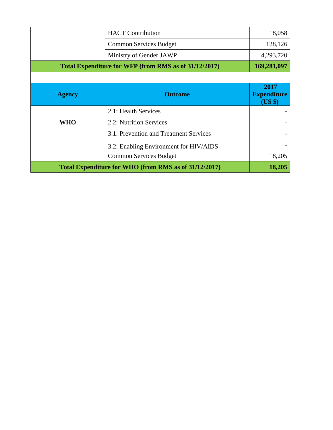|               | <b>HACT</b> Contribution                              | 18,058                                |
|---------------|-------------------------------------------------------|---------------------------------------|
|               | <b>Common Services Budget</b>                         | 128,126                               |
|               | Ministry of Gender JAWP                               | 4,293,720                             |
|               | Total Expenditure for WFP (from RMS as of 31/12/2017) |                                       |
|               |                                                       |                                       |
| <b>Agency</b> | <b>Outcome</b>                                        | 2017<br><b>Expenditure</b><br>(US \$) |
| <b>WHO</b>    | 2.1: Health Services                                  |                                       |
|               | 2.2: Nutrition Services                               |                                       |
|               | 3.1: Prevention and Treatment Services                |                                       |
|               | 3.2: Enabling Environment for HIV/AIDS                |                                       |
|               |                                                       |                                       |
|               | <b>Common Services Budget</b>                         | 18,205                                |